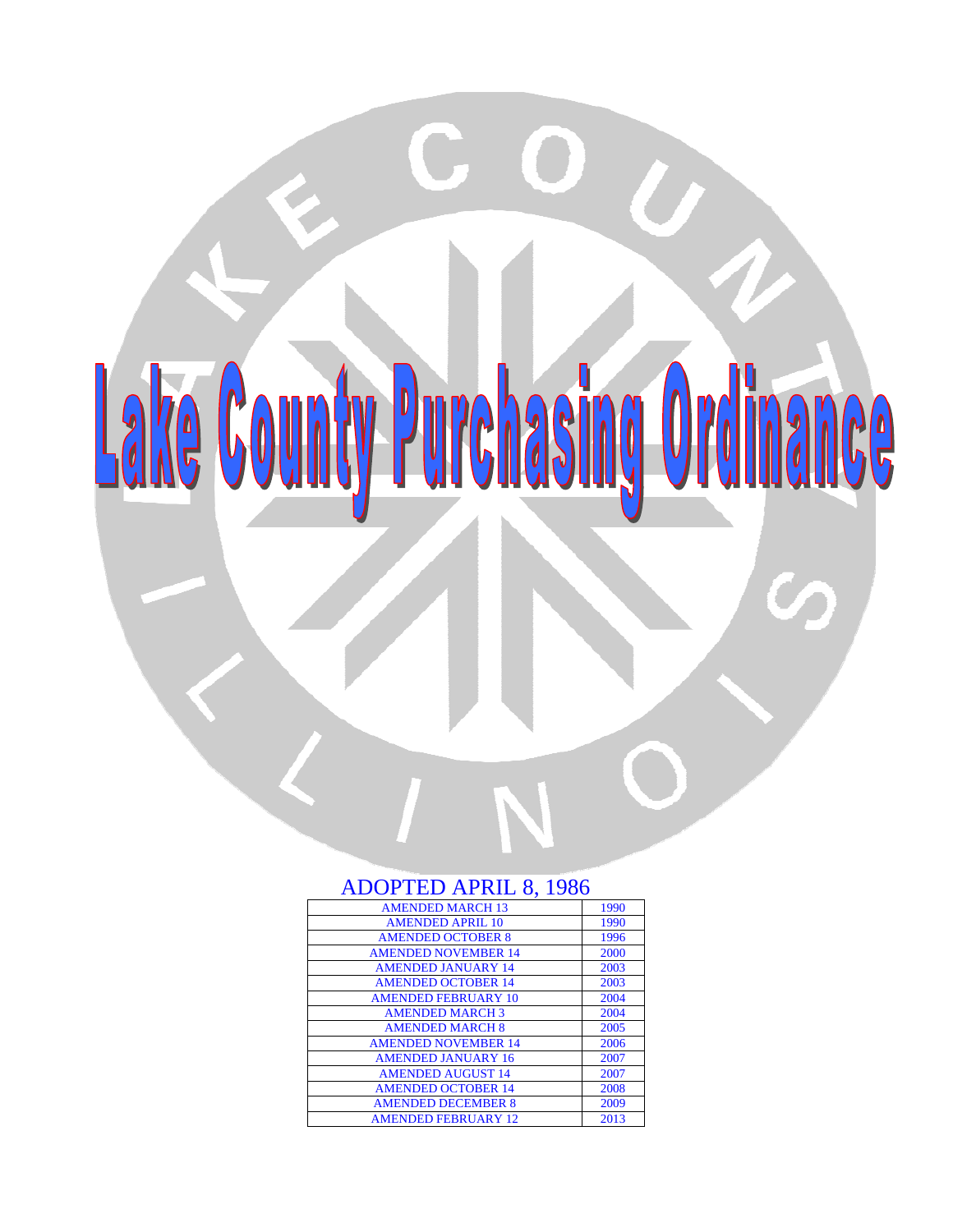

# ADOPTED APRIL 8, 1986

| 1990 |
|------|
| 1990 |
| 1996 |
| 2000 |
| 2003 |
| 2003 |
| 2004 |
| 2004 |
| 2005 |
| 2006 |
| 2007 |
| 2007 |
| 2008 |
| 2009 |
| 2013 |
|      |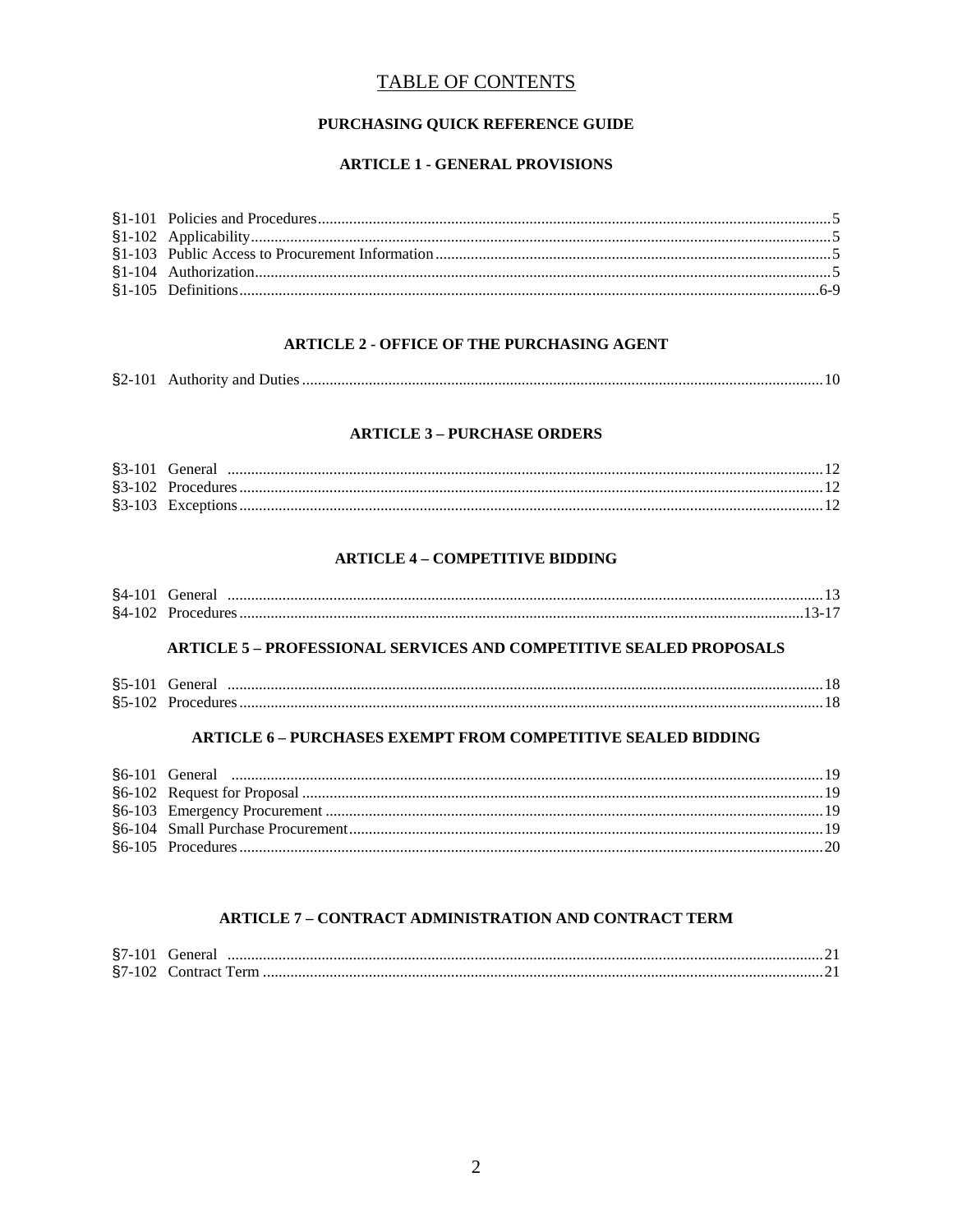## **TABLE OF CONTENTS**

## PURCHASING QUICK REFERENCE GUIDE

## **ARTICLE 1 - GENERAL PROVISIONS**

## **ARTICLE 2 - OFFICE OF THE PURCHASING AGENT**

|--|

#### **ARTICLE 3 - PURCHASE ORDERS**

### **ARTICLE 4 - COMPETITIVE BIDDING**

| $$4-101$ G | General |  |
|------------|---------|--|
|            |         |  |

#### **ARTICLE 5 - PROFESSIONAL SERVICES AND COMPETITIVE SEALED PROPOSALS**

| §5-101 General |  |
|----------------|--|
|                |  |

## **ARTICLE 6 - PURCHASES EXEMPT FROM COMPETITIVE SEALED BIDDING**

## **ARTICLE 7 - CONTRACT ADMINISTRATION AND CONTRACT TERM**

| $$7-101$ | General |
|----------|---------|
|          |         |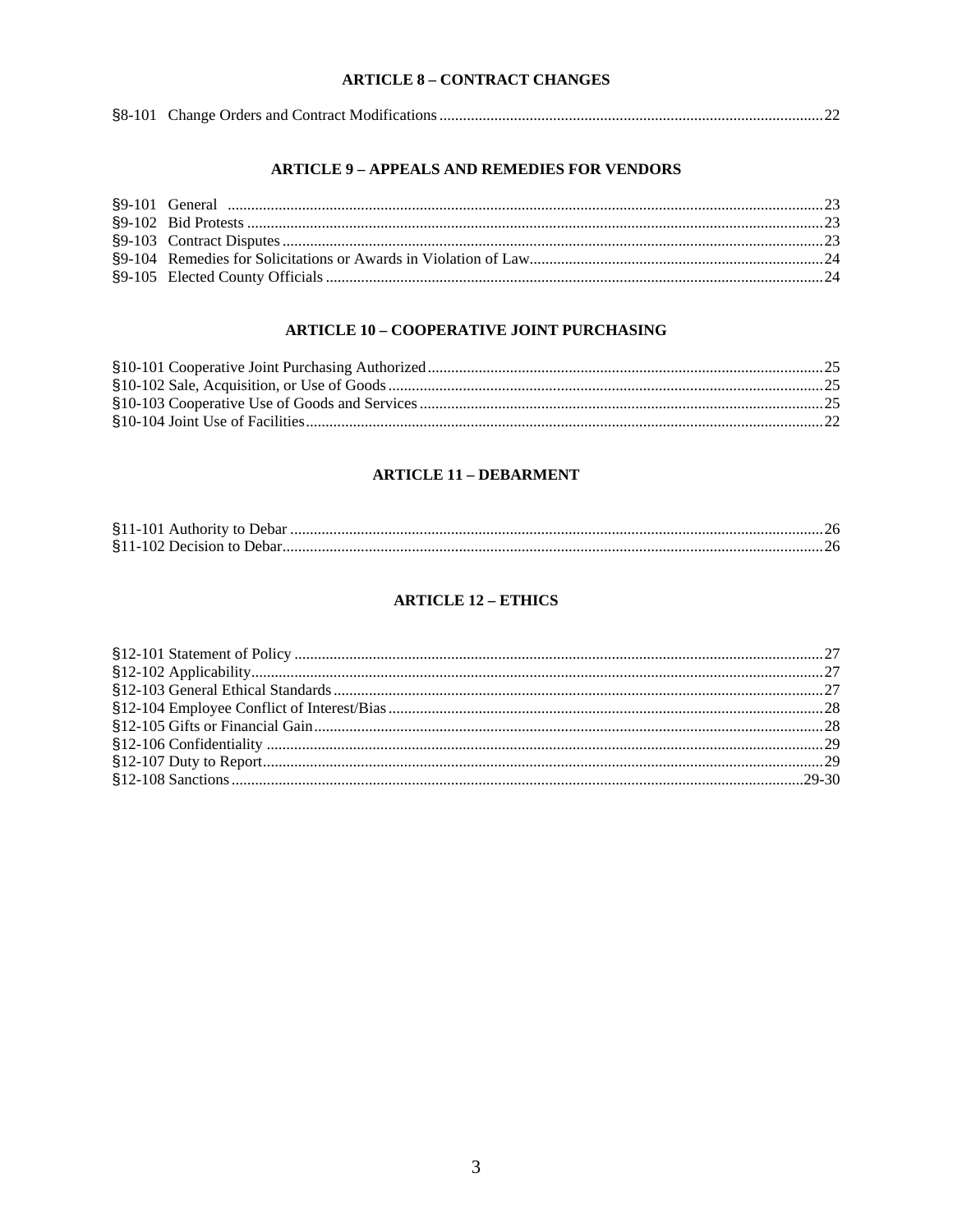### **ARTICLE 8 - CONTRACT CHANGES**

|--|--|

#### **ARTICLE 9 - APPEALS AND REMEDIES FOR VENDORS**

## **ARTICLE 10 - COOPERATIVE JOINT PURCHASING**

## **ARTICLE 11 - DEBARMENT**

## **ARTICLE 12 - ETHICS**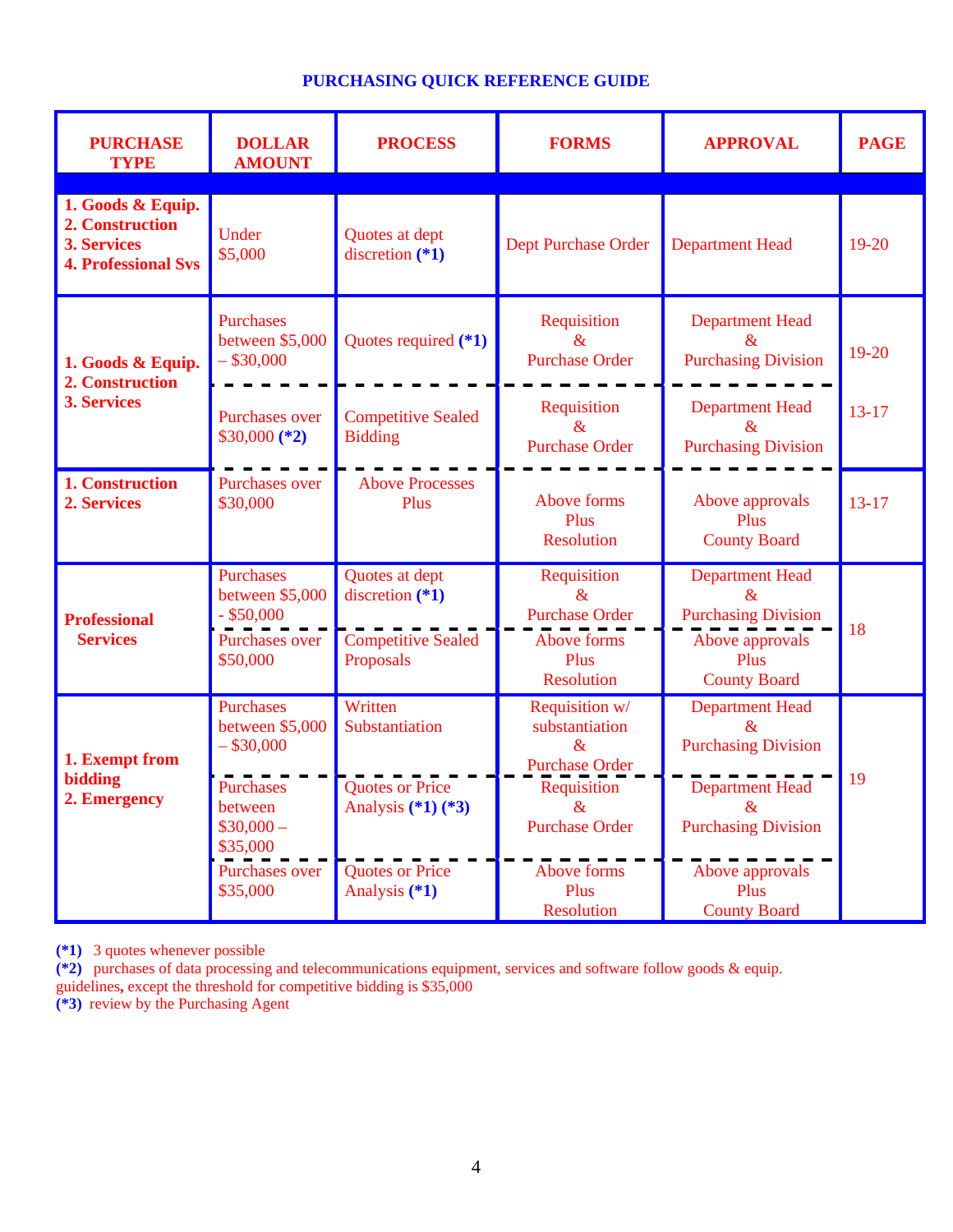# **PURCHASING QUICK REFERENCE GUIDE**

| <b>PURCHASE</b><br><b>TYPE</b>                                                    | <b>DOLLAR</b><br><b>AMOUNT</b>                                                                               | <b>PROCESS</b>                                                                | <b>FORMS</b>                                                                                                      | <b>APPROVAL</b>                                                                                                                                     | <b>PAGE</b> |
|-----------------------------------------------------------------------------------|--------------------------------------------------------------------------------------------------------------|-------------------------------------------------------------------------------|-------------------------------------------------------------------------------------------------------------------|-----------------------------------------------------------------------------------------------------------------------------------------------------|-------------|
| 1. Goods & Equip.<br>2. Construction<br>3. Services<br><b>4. Professional Sys</b> | Under<br>\$5,000                                                                                             | Quotes at dept<br>discretion $(*1)$                                           | <b>Dept Purchase Order</b>                                                                                        | <b>Department Head</b>                                                                                                                              | $19 - 20$   |
| 1. Goods & Equip.<br>2. Construction<br><b>3. Services</b>                        | <b>Purchases</b><br>between \$5,000<br>$-$ \$30,000                                                          | Quotes required (*1)                                                          | Requisition<br>$\&$<br><b>Purchase Order</b>                                                                      | <b>Department Head</b><br>$\mathcal{R}_{\mathcal{I}}$<br><b>Purchasing Division</b>                                                                 | 19-20       |
|                                                                                   | <b>Purchases over</b><br>$$30,000 (*2)$                                                                      | <b>Competitive Sealed</b><br><b>Bidding</b>                                   | Requisition<br>$\&$<br><b>Purchase Order</b>                                                                      | <b>Department Head</b><br>$\&$<br><b>Purchasing Division</b>                                                                                        | $13 - 17$   |
| 1. Construction<br>2. Services                                                    | <b>Purchases over</b><br>\$30,000                                                                            | <b>Above Processes</b><br>Plus                                                | Above forms<br>Plus<br><b>Resolution</b>                                                                          | Above approvals<br>Plus<br><b>County Board</b>                                                                                                      | $13 - 17$   |
| <b>Professional</b><br><b>Services</b>                                            | <b>Purchases</b><br>between \$5,000<br>$-$ \$50,000<br><b>Purchases over</b><br>\$50,000                     | Quotes at dept<br>discretion $(*1)$<br><b>Competitive Sealed</b><br>Proposals | Requisition<br>$\alpha$<br><b>Purchase Order</b><br>Above forms<br>Plus<br><b>Resolution</b>                      | <b>Department Head</b><br>$\mathcal{R}$<br><b>Purchasing Division</b><br>Above approvals<br>Plus<br><b>County Board</b>                             | 18          |
| 1. Exempt from<br>bidding<br>2. Emergency                                         | <b>Purchases</b><br>between \$5,000<br>$-$ \$30,000<br><b>Purchases</b><br>between<br>$$30,000-$<br>\$35,000 | Written<br>Substantiation<br><b>Quotes or Price</b><br>Analysis $(*1)$ $(*3)$ | Requisition w/<br>substantiation<br>$\&$<br><b>Purchase Order</b><br>Requisition<br>$\&$<br><b>Purchase Order</b> | <b>Department Head</b><br>$\mathcal{R}_{\mathcal{I}}$<br><b>Purchasing Division</b><br><b>Department Head</b><br>$\&$<br><b>Purchasing Division</b> | 19          |
|                                                                                   | <b>Purchases over</b><br>\$35,000                                                                            | <b>Quotes or Price</b><br>Analysis (*1)                                       | Above forms<br>Plus<br><b>Resolution</b>                                                                          | Above approvals<br>Plus<br><b>County Board</b>                                                                                                      |             |

**(\*1)** 3 quotes whenever possible

**(\*2)** purchases of data processing and telecommunications equipment, services and software follow goods & equip. guidelines**,** except the threshold for competitive bidding is \$35,000

**(\*3)** review by the Purchasing Agent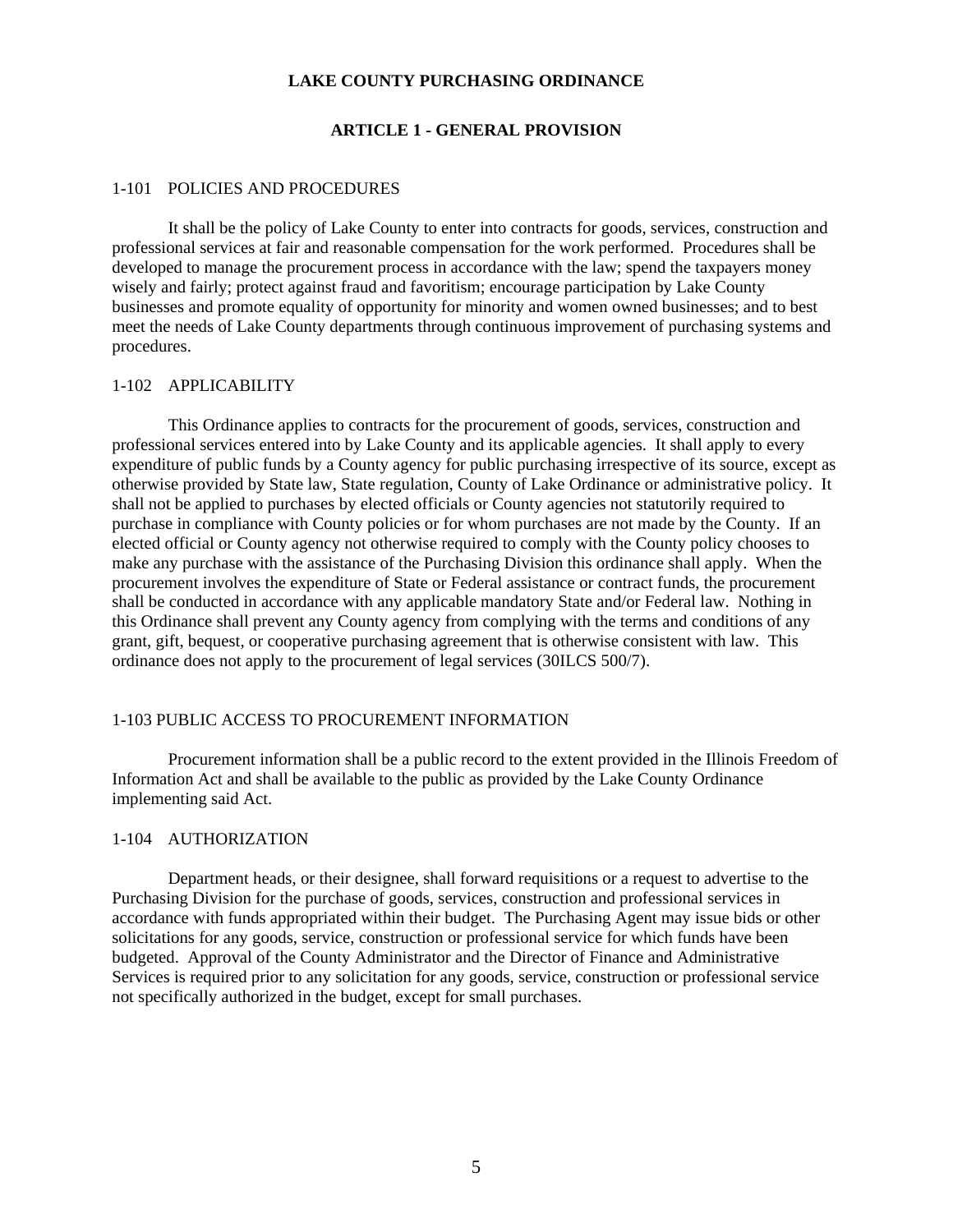#### **LAKE COUNTY PURCHASING ORDINANCE**

#### **ARTICLE 1 - GENERAL PROVISION**

#### 1-101 POLICIES AND PROCEDURES

It shall be the policy of Lake County to enter into contracts for goods, services, construction and professional services at fair and reasonable compensation for the work performed. Procedures shall be developed to manage the procurement process in accordance with the law; spend the taxpayers money wisely and fairly; protect against fraud and favoritism; encourage participation by Lake County businesses and promote equality of opportunity for minority and women owned businesses; and to best meet the needs of Lake County departments through continuous improvement of purchasing systems and procedures.

#### 1-102 APPLICABILITY

This Ordinance applies to contracts for the procurement of goods, services, construction and professional services entered into by Lake County and its applicable agencies. It shall apply to every expenditure of public funds by a County agency for public purchasing irrespective of its source, except as otherwise provided by State law, State regulation, County of Lake Ordinance or administrative policy. It shall not be applied to purchases by elected officials or County agencies not statutorily required to purchase in compliance with County policies or for whom purchases are not made by the County. If an elected official or County agency not otherwise required to comply with the County policy chooses to make any purchase with the assistance of the Purchasing Division this ordinance shall apply. When the procurement involves the expenditure of State or Federal assistance or contract funds, the procurement shall be conducted in accordance with any applicable mandatory State and/or Federal law. Nothing in this Ordinance shall prevent any County agency from complying with the terms and conditions of any grant, gift, bequest, or cooperative purchasing agreement that is otherwise consistent with law. This ordinance does not apply to the procurement of legal services (30ILCS 500/7).

### 1-103 PUBLIC ACCESS TO PROCUREMENT INFORMATION

Procurement information shall be a public record to the extent provided in the Illinois Freedom of Information Act and shall be available to the public as provided by the Lake County Ordinance implementing said Act.

### 1-104 AUTHORIZATION

Department heads, or their designee, shall forward requisitions or a request to advertise to the Purchasing Division for the purchase of goods, services, construction and professional services in accordance with funds appropriated within their budget. The Purchasing Agent may issue bids or other solicitations for any goods, service, construction or professional service for which funds have been budgeted. Approval of the County Administrator and the Director of Finance and Administrative Services is required prior to any solicitation for any goods, service, construction or professional service not specifically authorized in the budget, except for small purchases.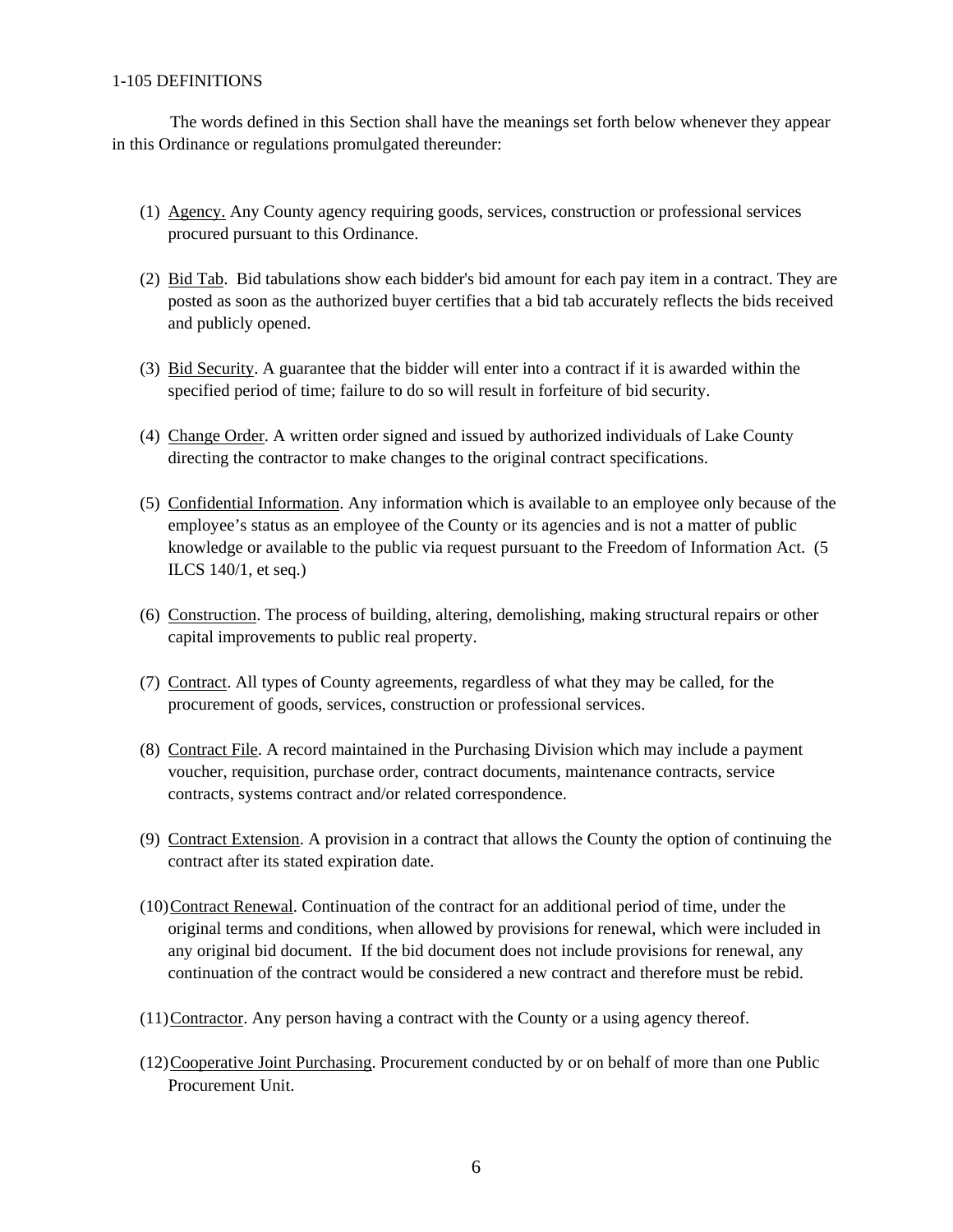### 1-105 DEFINITIONS

The words defined in this Section shall have the meanings set forth below whenever they appear in this Ordinance or regulations promulgated thereunder:

- (1) Agency. Any County agency requiring goods, services, construction or professional services procured pursuant to this Ordinance.
- (2) Bid Tab. Bid tabulations show each bidder's bid amount for each pay item in a contract. They are posted as soon as the authorized buyer certifies that a bid tab accurately reflects the bids received and publicly opened.
- (3) Bid Security. A guarantee that the bidder will enter into a contract if it is awarded within the specified period of time; failure to do so will result in forfeiture of bid security.
- (4) Change Order. A written order signed and issued by authorized individuals of Lake County directing the contractor to make changes to the original contract specifications.
- (5) Confidential Information. Any information which is available to an employee only because of the employee's status as an employee of the County or its agencies and is not a matter of public knowledge or available to the public via request pursuant to the Freedom of Information Act. (5 ILCS 140/1, et seq.)
- (6) Construction. The process of building, altering, demolishing, making structural repairs or other capital improvements to public real property.
- (7) Contract. All types of County agreements, regardless of what they may be called, for the procurement of goods, services, construction or professional services.
- (8) Contract File. A record maintained in the Purchasing Division which may include a payment voucher, requisition, purchase order, contract documents, maintenance contracts, service contracts, systems contract and/or related correspondence.
- (9) Contract Extension. A provision in a contract that allows the County the option of continuing the contract after its stated expiration date.
- (10)Contract Renewal. Continuation of the contract for an additional period of time, under the original terms and conditions, when allowed by provisions for renewal, which were included in any original bid document. If the bid document does not include provisions for renewal, any continuation of the contract would be considered a new contract and therefore must be rebid.
- (11)Contractor. Any person having a contract with the County or a using agency thereof.
- (12)Cooperative Joint Purchasing. Procurement conducted by or on behalf of more than one Public Procurement Unit.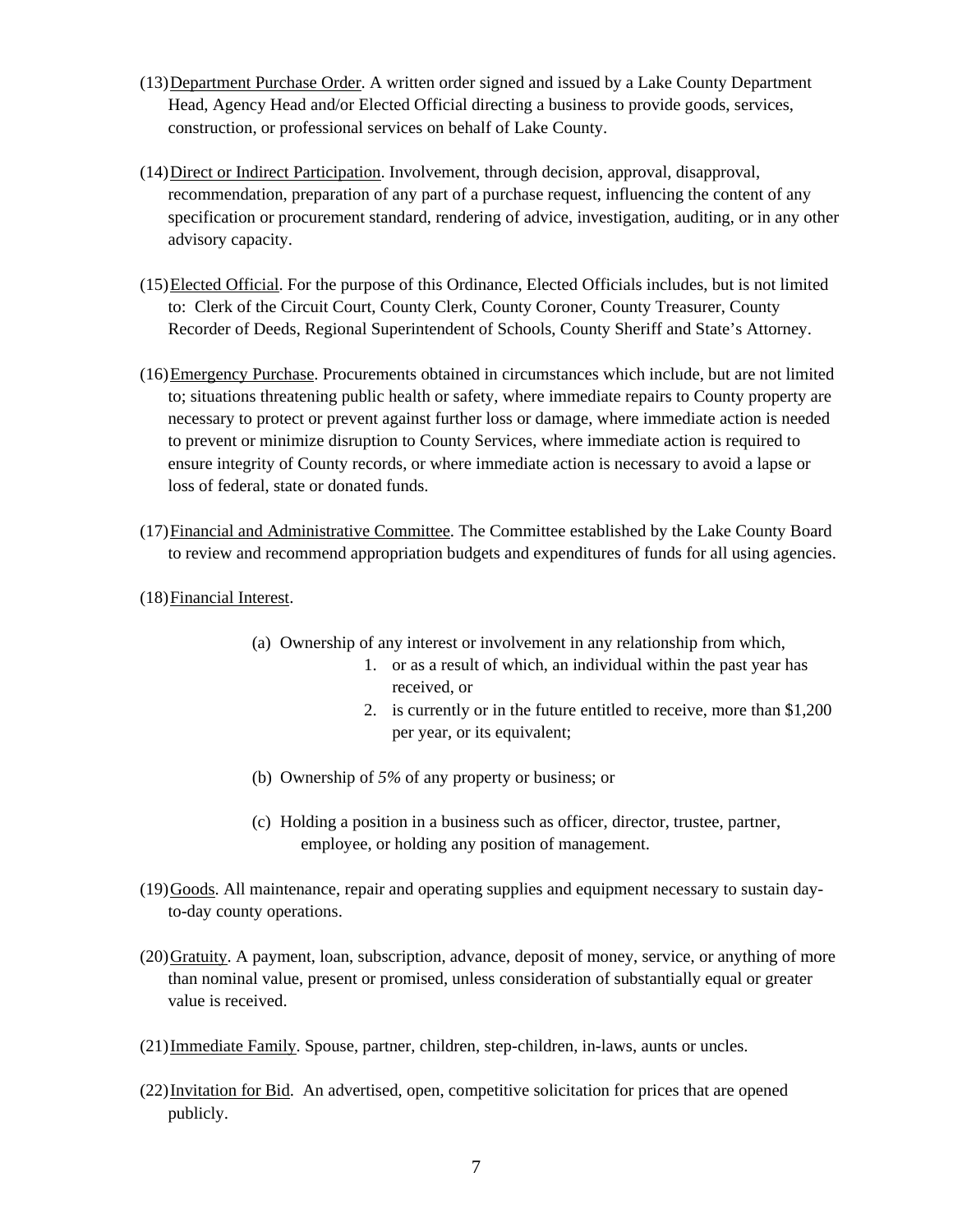- (13)Department Purchase Order. A written order signed and issued by a Lake County Department Head, Agency Head and/or Elected Official directing a business to provide goods, services, construction, or professional services on behalf of Lake County.
- (14)Direct or Indirect Participation. Involvement, through decision, approval, disapproval, recommendation, preparation of any part of a purchase request, influencing the content of any specification or procurement standard, rendering of advice, investigation, auditing, or in any other advisory capacity.
- (15)Elected Official. For the purpose of this Ordinance, Elected Officials includes, but is not limited to: Clerk of the Circuit Court, County Clerk, County Coroner, County Treasurer, County Recorder of Deeds, Regional Superintendent of Schools, County Sheriff and State's Attorney.
- (16)Emergency Purchase. Procurements obtained in circumstances which include, but are not limited to; situations threatening public health or safety, where immediate repairs to County property are necessary to protect or prevent against further loss or damage, where immediate action is needed to prevent or minimize disruption to County Services, where immediate action is required to ensure integrity of County records, or where immediate action is necessary to avoid a lapse or loss of federal, state or donated funds.
- (17)Financial and Administrative Committee. The Committee established by the Lake County Board to review and recommend appropriation budgets and expenditures of funds for all using agencies.
- (18)Financial Interest.
	- (a) Ownership of any interest or involvement in any relationship from which,
		- 1. or as a result of which, an individual within the past year has received, or
		- 2. is currently or in the future entitled to receive, more than \$1,200 per year, or its equivalent;
	- (b) Ownership of *5%* of any property or business; or
	- (c) Holding a position in a business such as officer, director, trustee, partner, employee, or holding any position of management.
- (19)Goods. All maintenance, repair and operating supplies and equipment necessary to sustain dayto-day county operations.
- (20)Gratuity. A payment, loan, subscription, advance, deposit of money, service, or anything of more than nominal value, present or promised, unless consideration of substantially equal or greater value is received.
- (21)Immediate Family. Spouse, partner, children, step-children, in-laws, aunts or uncles.
- (22)Invitation for Bid. An advertised, open, competitive solicitation for prices that are opened publicly.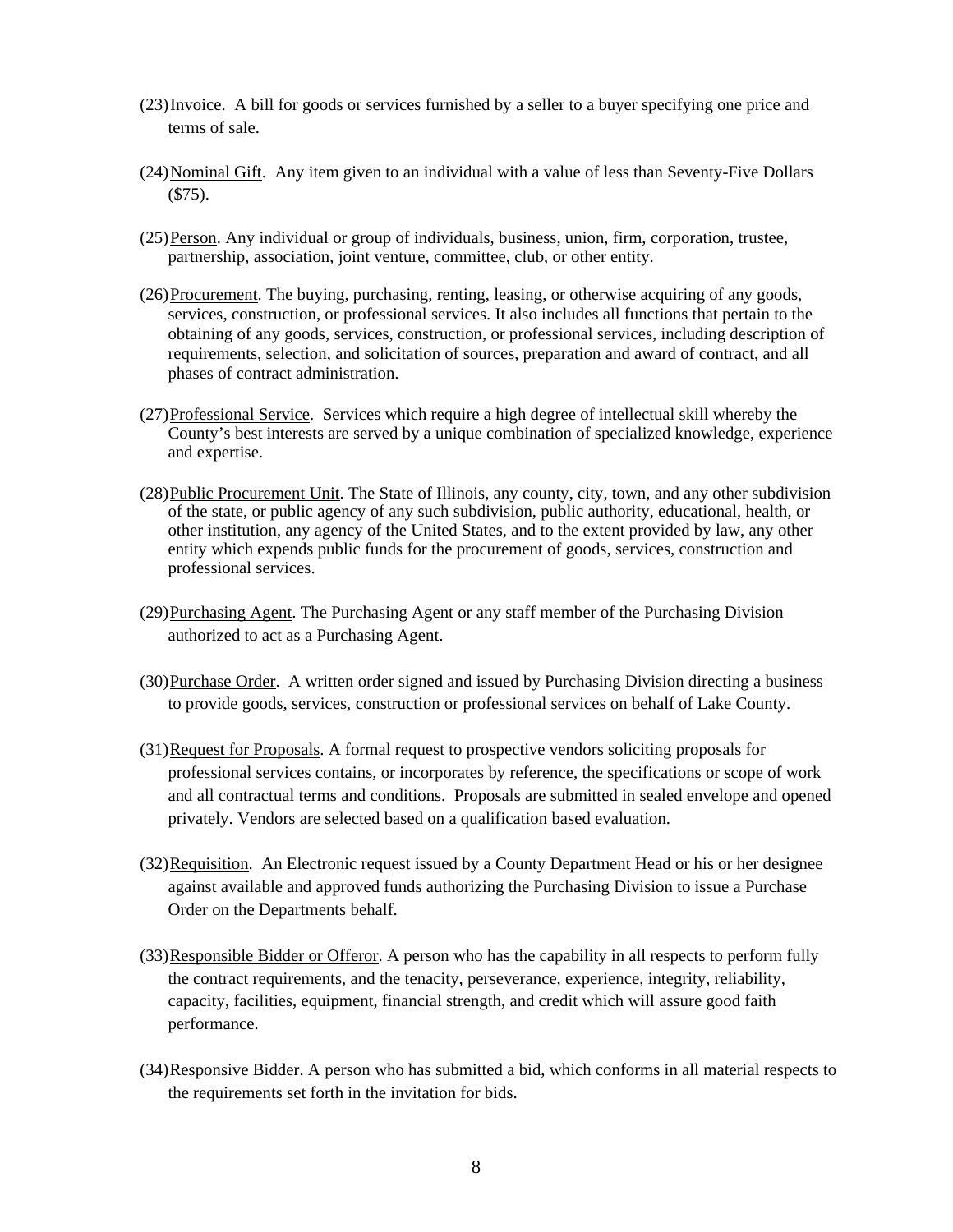- (23)Invoice. A bill for goods or services furnished by a seller to a buyer specifying one price and terms of sale.
- (24)Nominal Gift. Any item given to an individual with a value of less than Seventy-Five Dollars (\$75).
- (25)Person. Any individual or group of individuals, business, union, firm, corporation, trustee, partnership, association, joint venture, committee, club, or other entity.
- (26)Procurement. The buying, purchasing, renting, leasing, or otherwise acquiring of any goods, services, construction, or professional services. It also includes all functions that pertain to the obtaining of any goods, services, construction, or professional services, including description of requirements, selection, and solicitation of sources, preparation and award of contract, and all phases of contract administration.
- (27)Professional Service. Services which require a high degree of intellectual skill whereby the County's best interests are served by a unique combination of specialized knowledge, experience and expertise.
- (28)Public Procurement Unit. The State of Illinois, any county, city, town, and any other subdivision of the state, or public agency of any such subdivision, public authority, educational, health, or other institution, any agency of the United States, and to the extent provided by law, any other entity which expends public funds for the procurement of goods, services, construction and professional services.
- (29) Purchasing Agent. The Purchasing Agent or any staff member of the Purchasing Division authorized to act as a Purchasing Agent.
- (30)Purchase Order. A written order signed and issued by Purchasing Division directing a business to provide goods, services, construction or professional services on behalf of Lake County.
- (31)Request for Proposals. A formal request to prospective vendors soliciting proposals for professional services contains, or incorporates by reference, the specifications or scope of work and all contractual terms and conditions. Proposals are submitted in sealed envelope and opened privately. Vendors are selected based on a qualification based evaluation.
- (32)Requisition. An Electronic request issued by a County Department Head or his or her designee against available and approved funds authorizing the Purchasing Division to issue a Purchase Order on the Departments behalf.
- (33)Responsible Bidder or Offeror. A person who has the capability in all respects to perform fully the contract requirements, and the tenacity, perseverance, experience, integrity, reliability, capacity, facilities, equipment, financial strength, and credit which will assure good faith performance.
- (34)Responsive Bidder. A person who has submitted a bid, which conforms in all material respects to the requirements set forth in the invitation for bids.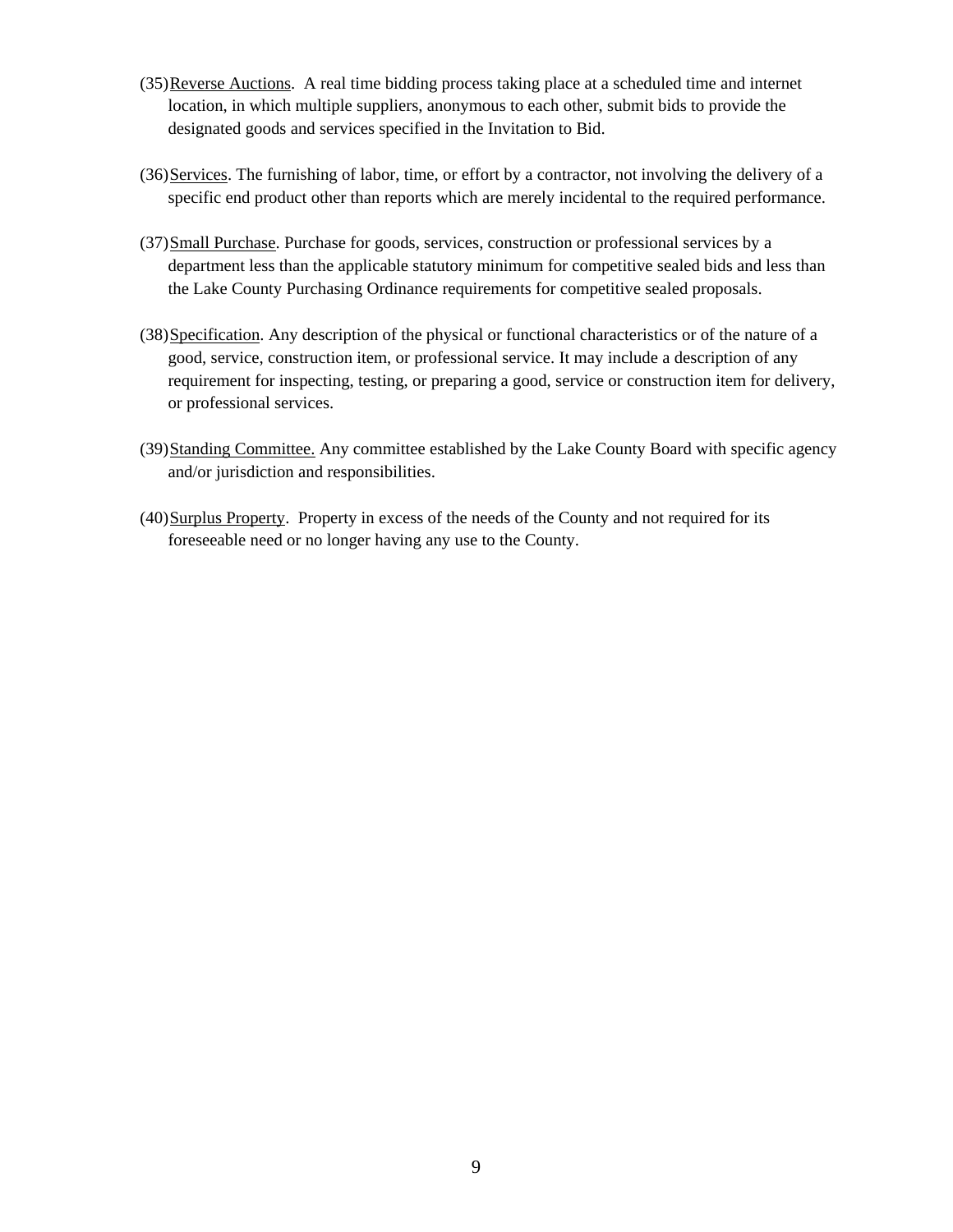- (35)Reverse Auctions. A real time bidding process taking place at a scheduled time and internet location, in which multiple suppliers, anonymous to each other, submit bids to provide the designated goods and services specified in the Invitation to Bid.
- (36)Services. The furnishing of labor, time, or effort by a contractor, not involving the delivery of a specific end product other than reports which are merely incidental to the required performance.
- (37)Small Purchase. Purchase for goods, services, construction or professional services by a department less than the applicable statutory minimum for competitive sealed bids and less than the Lake County Purchasing Ordinance requirements for competitive sealed proposals.
- (38)Specification. Any description of the physical or functional characteristics or of the nature of a good, service, construction item, or professional service. It may include a description of any requirement for inspecting, testing, or preparing a good, service or construction item for delivery, or professional services.
- (39)Standing Committee. Any committee established by the Lake County Board with specific agency and/or jurisdiction and responsibilities.
- (40)Surplus Property. Property in excess of the needs of the County and not required for its foreseeable need or no longer having any use to the County.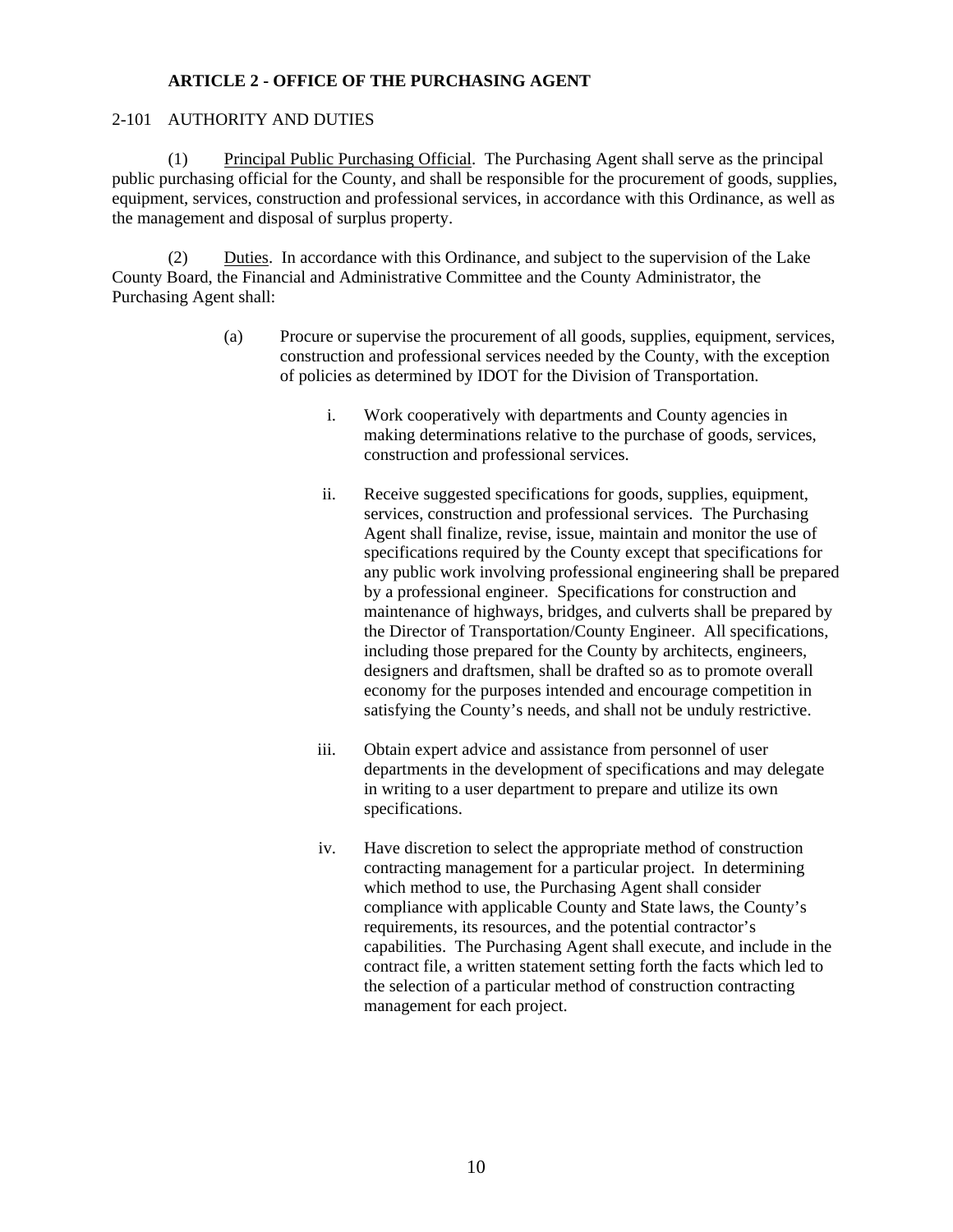## **ARTICLE 2 - OFFICE OF THE PURCHASING AGENT**

## 2-101 AUTHORITY AND DUTIES

(1) Principal Public Purchasing Official. The Purchasing Agent shall serve as the principal public purchasing official for the County, and shall be responsible for the procurement of goods, supplies, equipment, services, construction and professional services, in accordance with this Ordinance, as well as the management and disposal of surplus property.

Duties. In accordance with this Ordinance, and subject to the supervision of the Lake County Board, the Financial and Administrative Committee and the County Administrator, the Purchasing Agent shall:

- (a) Procure or supervise the procurement of all goods, supplies, equipment, services, construction and professional services needed by the County, with the exception of policies as determined by IDOT for the Division of Transportation.
	- i. Work cooperatively with departments and County agencies in making determinations relative to the purchase of goods, services, construction and professional services.
	- ii. Receive suggested specifications for goods, supplies, equipment, services, construction and professional services. The Purchasing Agent shall finalize, revise, issue, maintain and monitor the use of specifications required by the County except that specifications for any public work involving professional engineering shall be prepared by a professional engineer. Specifications for construction and maintenance of highways, bridges, and culverts shall be prepared by the Director of Transportation/County Engineer. All specifications, including those prepared for the County by architects, engineers, designers and draftsmen, shall be drafted so as to promote overall economy for the purposes intended and encourage competition in satisfying the County's needs, and shall not be unduly restrictive.
	- iii. Obtain expert advice and assistance from personnel of user departments in the development of specifications and may delegate in writing to a user department to prepare and utilize its own specifications.
	- iv. Have discretion to select the appropriate method of construction contracting management for a particular project. In determining which method to use, the Purchasing Agent shall consider compliance with applicable County and State laws, the County's requirements, its resources, and the potential contractor's capabilities. The Purchasing Agent shall execute, and include in the contract file, a written statement setting forth the facts which led to the selection of a particular method of construction contracting management for each project.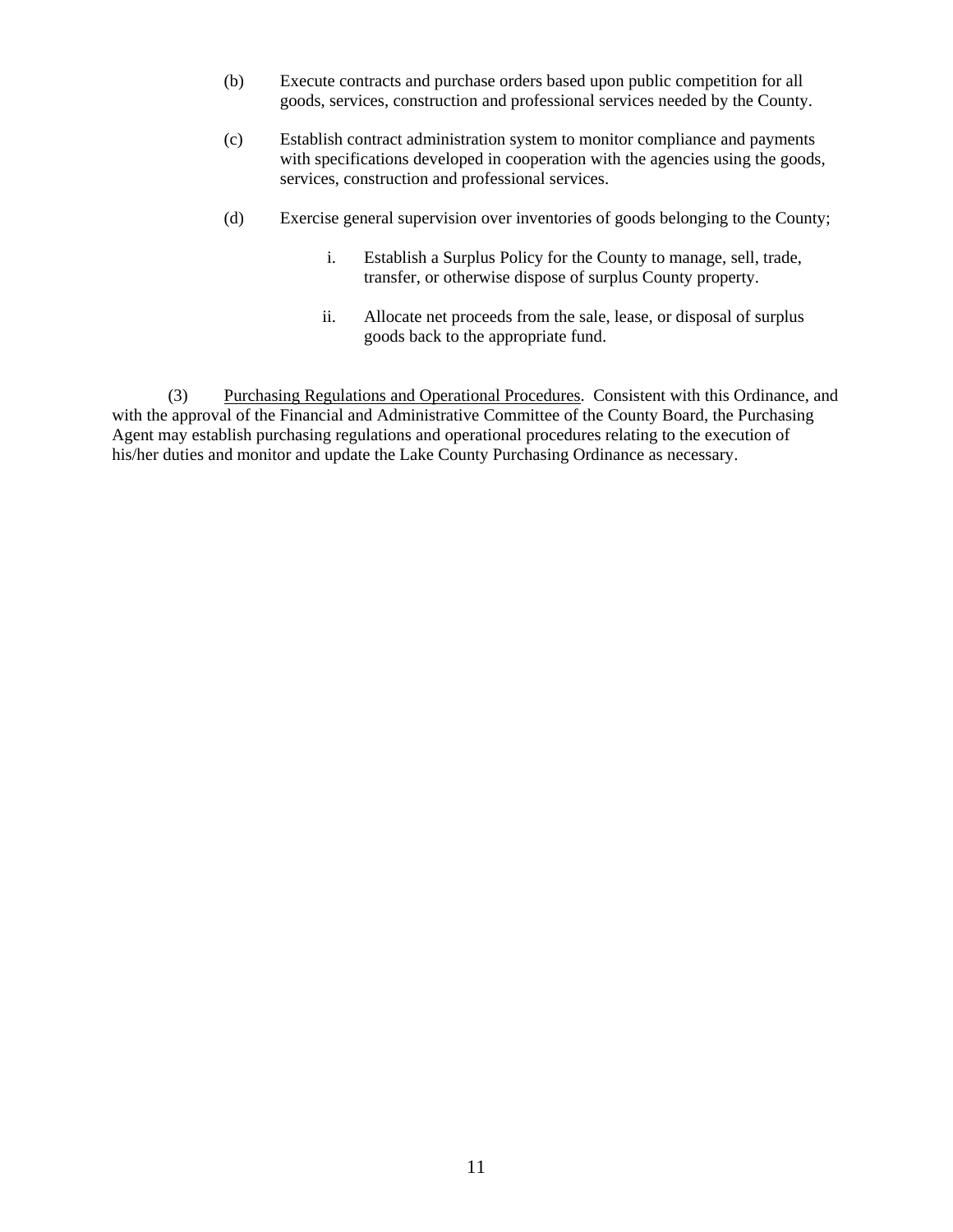- (b) Execute contracts and purchase orders based upon public competition for all goods, services, construction and professional services needed by the County.
- (c) Establish contract administration system to monitor compliance and payments with specifications developed in cooperation with the agencies using the goods, services, construction and professional services.
- (d) Exercise general supervision over inventories of goods belonging to the County;
	- i. Establish a Surplus Policy for the County to manage, sell, trade, transfer, or otherwise dispose of surplus County property.
	- ii. Allocate net proceeds from the sale, lease, or disposal of surplus goods back to the appropriate fund.

(3) Purchasing Regulations and Operational Procedures. Consistent with this Ordinance, and with the approval of the Financial and Administrative Committee of the County Board, the Purchasing Agent may establish purchasing regulations and operational procedures relating to the execution of his/her duties and monitor and update the Lake County Purchasing Ordinance as necessary.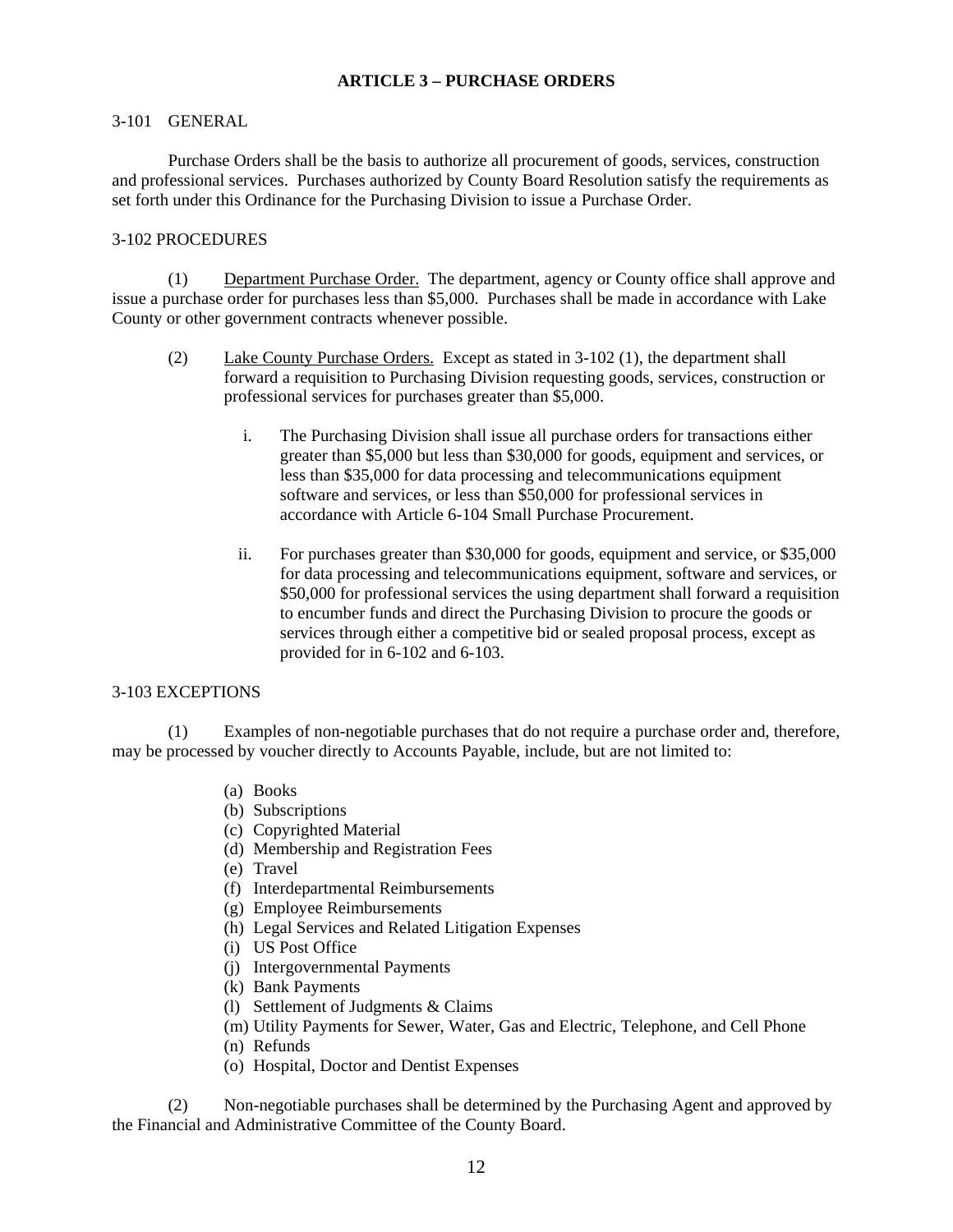### **ARTICLE 3 – PURCHASE ORDERS**

#### 3-101 GENERAL

Purchase Orders shall be the basis to authorize all procurement of goods, services, construction and professional services. Purchases authorized by County Board Resolution satisfy the requirements as set forth under this Ordinance for the Purchasing Division to issue a Purchase Order.

### 3-102 PROCEDURES

(1) Department Purchase Order. The department, agency or County office shall approve and issue a purchase order for purchases less than \$5,000. Purchases shall be made in accordance with Lake County or other government contracts whenever possible.

- (2) Lake County Purchase Orders. Except as stated in 3-102 (1), the department shall forward a requisition to Purchasing Division requesting goods, services, construction or professional services for purchases greater than \$5,000.
	- i. The Purchasing Division shall issue all purchase orders for transactions either greater than \$5,000 but less than \$30,000 for goods, equipment and services, or less than \$35,000 for data processing and telecommunications equipment software and services, or less than \$50,000 for professional services in accordance with Article 6-104 Small Purchase Procurement.
	- ii. For purchases greater than \$30,000 for goods, equipment and service, or \$35,000 for data processing and telecommunications equipment, software and services, or \$50,000 for professional services the using department shall forward a requisition to encumber funds and direct the Purchasing Division to procure the goods or services through either a competitive bid or sealed proposal process, except as provided for in 6-102 and 6-103.

#### 3-103 EXCEPTIONS

(1) Examples of non-negotiable purchases that do not require a purchase order and, therefore, may be processed by voucher directly to Accounts Payable, include, but are not limited to:

- (a) Books
- (b) Subscriptions
- (c) Copyrighted Material
- (d) Membership and Registration Fees
- (e) Travel
- (f) Interdepartmental Reimbursements
- (g) Employee Reimbursements
- (h) Legal Services and Related Litigation Expenses
- (i) US Post Office
- (j) Intergovernmental Payments
- (k) Bank Payments
- (l) Settlement of Judgments & Claims
- (m) Utility Payments for Sewer, Water, Gas and Electric, Telephone, and Cell Phone
- (n) Refunds
- (o) Hospital, Doctor and Dentist Expenses

(2) Non-negotiable purchases shall be determined by the Purchasing Agent and approved by the Financial and Administrative Committee of the County Board.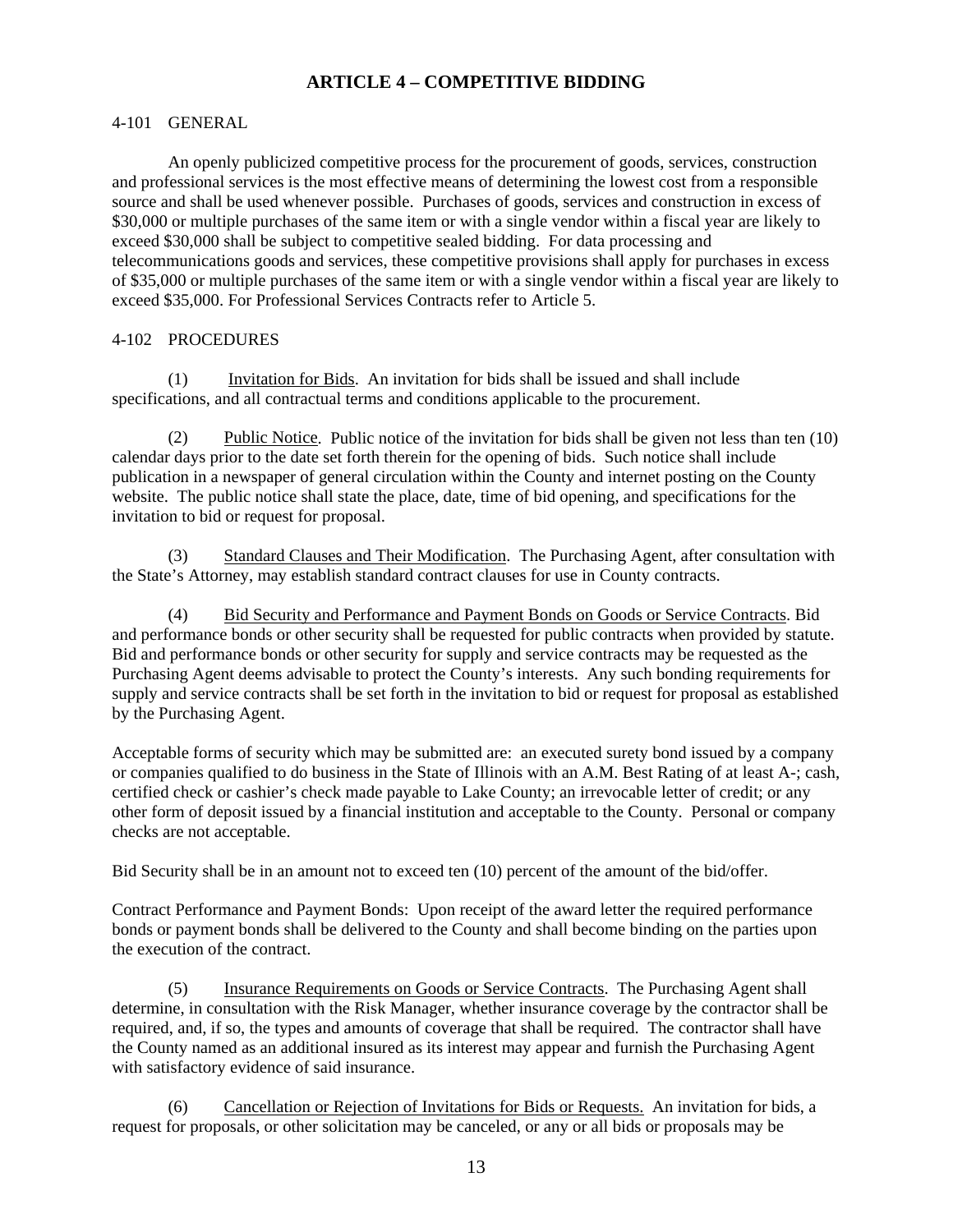## **ARTICLE 4 – COMPETITIVE BIDDING**

### 4-101 GENERAL

 An openly publicized competitive process for the procurement of goods, services, construction and professional services is the most effective means of determining the lowest cost from a responsible source and shall be used whenever possible. Purchases of goods, services and construction in excess of \$30,000 or multiple purchases of the same item or with a single vendor within a fiscal year are likely to exceed \$30,000 shall be subject to competitive sealed bidding. For data processing and telecommunications goods and services, these competitive provisions shall apply for purchases in excess of \$35,000 or multiple purchases of the same item or with a single vendor within a fiscal year are likely to exceed \$35,000. For Professional Services Contracts refer to Article 5.

### 4-102 PROCEDURES

(1) Invitation for Bids. An invitation for bids shall be issued and shall include specifications, and all contractual terms and conditions applicable to the procurement.

(2) Public Notice. Public notice of the invitation for bids shall be given not less than ten (10) calendar days prior to the date set forth therein for the opening of bids. Such notice shall include publication in a newspaper of general circulation within the County and internet posting on the County website. The public notice shall state the place, date, time of bid opening, and specifications for the invitation to bid or request for proposal.

(3) Standard Clauses and Their Modification. The Purchasing Agent, after consultation with the State's Attorney, may establish standard contract clauses for use in County contracts.

(4) Bid Security and Performance and Payment Bonds on Goods or Service Contracts. Bid and performance bonds or other security shall be requested for public contracts when provided by statute. Bid and performance bonds or other security for supply and service contracts may be requested as the Purchasing Agent deems advisable to protect the County's interests. Any such bonding requirements for supply and service contracts shall be set forth in the invitation to bid or request for proposal as established by the Purchasing Agent.

Acceptable forms of security which may be submitted are: an executed surety bond issued by a company or companies qualified to do business in the State of Illinois with an A.M. Best Rating of at least A-; cash, certified check or cashier's check made payable to Lake County; an irrevocable letter of credit; or any other form of deposit issued by a financial institution and acceptable to the County. Personal or company checks are not acceptable.

Bid Security shall be in an amount not to exceed ten (10) percent of the amount of the bid/offer.

Contract Performance and Payment Bonds: Upon receipt of the award letter the required performance bonds or payment bonds shall be delivered to the County and shall become binding on the parties upon the execution of the contract.

 (5) Insurance Requirements on Goods or Service Contracts. The Purchasing Agent shall determine, in consultation with the Risk Manager, whether insurance coverage by the contractor shall be required, and, if so, the types and amounts of coverage that shall be required. The contractor shall have the County named as an additional insured as its interest may appear and furnish the Purchasing Agent with satisfactory evidence of said insurance.

(6) Cancellation or Rejection of Invitations for Bids or Requests. An invitation for bids, a request for proposals, or other solicitation may be canceled, or any or all bids or proposals may be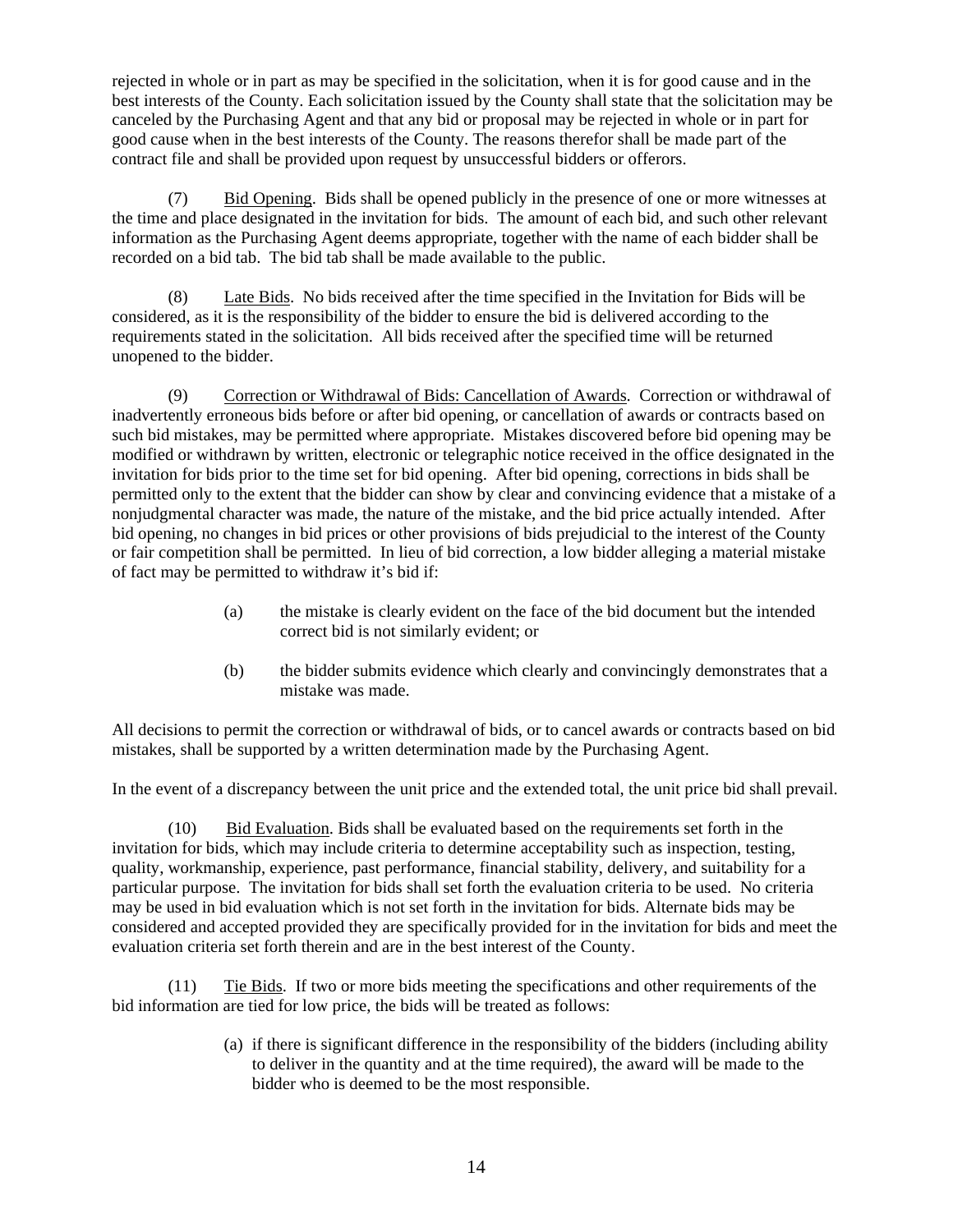rejected in whole or in part as may be specified in the solicitation, when it is for good cause and in the best interests of the County. Each solicitation issued by the County shall state that the solicitation may be canceled by the Purchasing Agent and that any bid or proposal may be rejected in whole or in part for good cause when in the best interests of the County. The reasons therefor shall be made part of the contract file and shall be provided upon request by unsuccessful bidders or offerors.

(7) Bid Opening. Bids shall be opened publicly in the presence of one or more witnesses at the time and place designated in the invitation for bids. The amount of each bid, and such other relevant information as the Purchasing Agent deems appropriate, together with the name of each bidder shall be recorded on a bid tab. The bid tab shall be made available to the public.

(8) Late Bids. No bids received after the time specified in the Invitation for Bids will be considered, as it is the responsibility of the bidder to ensure the bid is delivered according to the requirements stated in the solicitation. All bids received after the specified time will be returned unopened to the bidder.

(9) Correction or Withdrawal of Bids: Cancellation of Awards. Correction or withdrawal of inadvertently erroneous bids before or after bid opening, or cancellation of awards or contracts based on such bid mistakes, may be permitted where appropriate. Mistakes discovered before bid opening may be modified or withdrawn by written, electronic or telegraphic notice received in the office designated in the invitation for bids prior to the time set for bid opening. After bid opening, corrections in bids shall be permitted only to the extent that the bidder can show by clear and convincing evidence that a mistake of a nonjudgmental character was made, the nature of the mistake, and the bid price actually intended. After bid opening, no changes in bid prices or other provisions of bids prejudicial to the interest of the County or fair competition shall be permitted. In lieu of bid correction, a low bidder alleging a material mistake of fact may be permitted to withdraw it's bid if:

- (a) the mistake is clearly evident on the face of the bid document but the intended correct bid is not similarly evident; or
- (b) the bidder submits evidence which clearly and convincingly demonstrates that a mistake was made.

All decisions to permit the correction or withdrawal of bids, or to cancel awards or contracts based on bid mistakes, shall be supported by a written determination made by the Purchasing Agent.

In the event of a discrepancy between the unit price and the extended total, the unit price bid shall prevail.

(10) Bid Evaluation. Bids shall be evaluated based on the requirements set forth in the invitation for bids, which may include criteria to determine acceptability such as inspection, testing, quality, workmanship, experience, past performance, financial stability, delivery, and suitability for a particular purpose. The invitation for bids shall set forth the evaluation criteria to be used. No criteria may be used in bid evaluation which is not set forth in the invitation for bids. Alternate bids may be considered and accepted provided they are specifically provided for in the invitation for bids and meet the evaluation criteria set forth therein and are in the best interest of the County.

(11) Tie Bids. If two or more bids meeting the specifications and other requirements of the bid information are tied for low price, the bids will be treated as follows:

> (a) if there is significant difference in the responsibility of the bidders (including ability to deliver in the quantity and at the time required), the award will be made to the bidder who is deemed to be the most responsible.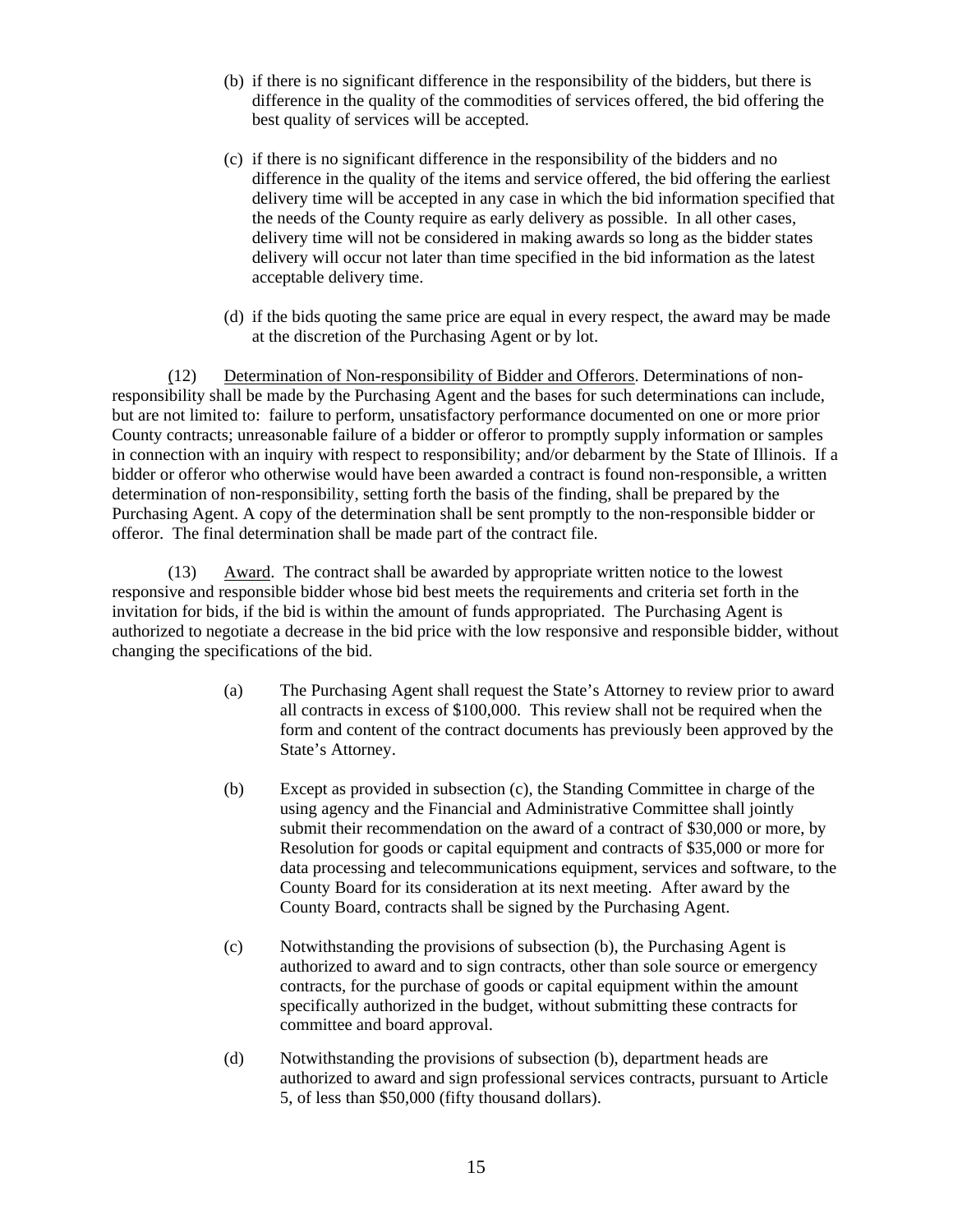- (b) if there is no significant difference in the responsibility of the bidders, but there is difference in the quality of the commodities of services offered, the bid offering the best quality of services will be accepted.
- (c) if there is no significant difference in the responsibility of the bidders and no difference in the quality of the items and service offered, the bid offering the earliest delivery time will be accepted in any case in which the bid information specified that the needs of the County require as early delivery as possible. In all other cases, delivery time will not be considered in making awards so long as the bidder states delivery will occur not later than time specified in the bid information as the latest acceptable delivery time.
- (d) if the bids quoting the same price are equal in every respect, the award may be made at the discretion of the Purchasing Agent or by lot.

(12) Determination of Non-responsibility of Bidder and Offerors. Determinations of nonresponsibility shall be made by the Purchasing Agent and the bases for such determinations can include, but are not limited to: failure to perform, unsatisfactory performance documented on one or more prior County contracts; unreasonable failure of a bidder or offeror to promptly supply information or samples in connection with an inquiry with respect to responsibility; and/or debarment by the State of Illinois. If a bidder or offeror who otherwise would have been awarded a contract is found non-responsible, a written determination of non-responsibility, setting forth the basis of the finding, shall be prepared by the Purchasing Agent. A copy of the determination shall be sent promptly to the non-responsible bidder or offeror. The final determination shall be made part of the contract file.

(13) Award. The contract shall be awarded by appropriate written notice to the lowest responsive and responsible bidder whose bid best meets the requirements and criteria set forth in the invitation for bids*,* if the bid is within the amount of funds appropriated. The Purchasing Agent is authorized to negotiate a decrease in the bid price with the low responsive and responsible bidder, without changing the specifications of the bid.

- (a) The Purchasing Agent shall request the State's Attorney to review prior to award all contracts in excess of \$100,000. This review shall not be required when the form and content of the contract documents has previously been approved by the State's Attorney.
- (b) Except as provided in subsection (c), the Standing Committee in charge of the using agency and the Financial and Administrative Committee shall jointly submit their recommendation on the award of a contract of \$30,000 or more, by Resolution for goods or capital equipment and contracts of \$35,000 or more for data processing and telecommunications equipment, services and software, to the County Board for its consideration at its next meeting. After award by the County Board, contracts shall be signed by the Purchasing Agent.
- (c) Notwithstanding the provisions of subsection (b), the Purchasing Agent is authorized to award and to sign contracts, other than sole source or emergency contracts, for the purchase of goods or capital equipment within the amount specifically authorized in the budget, without submitting these contracts for committee and board approval.
- (d) Notwithstanding the provisions of subsection (b), department heads are authorized to award and sign professional services contracts, pursuant to Article 5, of less than \$50,000 (fifty thousand dollars).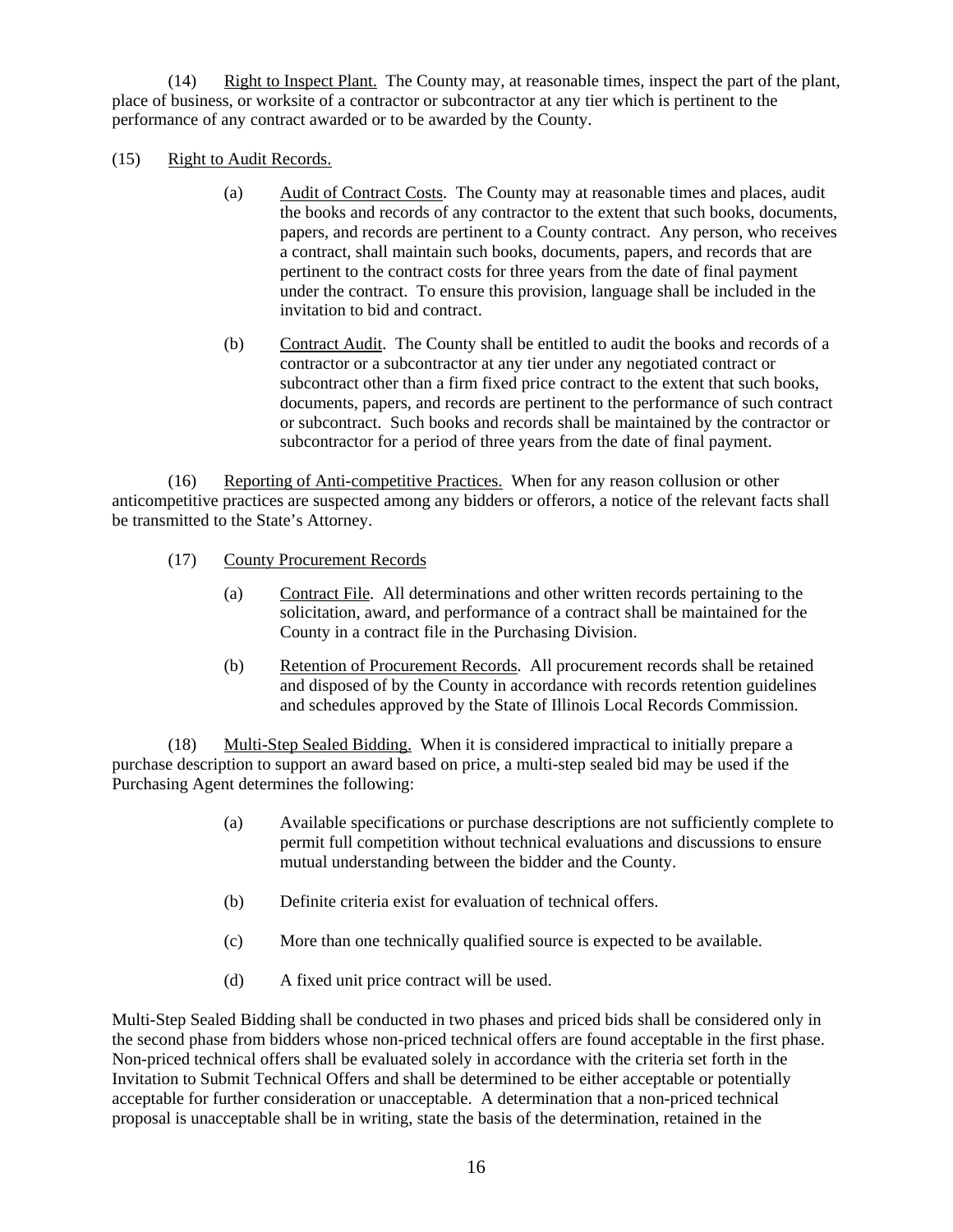(14) Right to Inspect Plant. The County may, at reasonable times, inspect the part of the plant, place of business, or worksite of a contractor or subcontractor at any tier which is pertinent to the performance of any contract awarded or to be awarded by the County.

- (15) Right to Audit Records.
	- (a) Audit of Contract Costs. The County may at reasonable times and places, audit the books and records of any contractor to the extent that such books, documents, papers, and records are pertinent to a County contract. Any person, who receives a contract, shall maintain such books, documents, papers, and records that are pertinent to the contract costs for three years from the date of final payment under the contract. To ensure this provision, language shall be included in the invitation to bid and contract.
	- (b) Contract Audit. The County shall be entitled to audit the books and records of a contractor or a subcontractor at any tier under any negotiated contract or subcontract other than a firm fixed price contract to the extent that such books, documents, papers, and records are pertinent to the performance of such contract or subcontract. Such books and records shall be maintained by the contractor or subcontractor for a period of three years from the date of final payment.

(16) Reporting of Anti-competitive Practices. When for any reason collusion or other anticompetitive practices are suspected among any bidders or offerors, a notice of the relevant facts shall be transmitted to the State's Attorney.

- (17) County Procurement Records
	- (a) Contract File. All determinations and other written records pertaining to the solicitation, award, and performance of a contract shall be maintained for the County in a contract file in the Purchasing Division.
	- (b) Retention of Procurement Records. All procurement records shall be retained and disposed of by the County in accordance with records retention guidelines and schedules approved by the State of Illinois Local Records Commission.

(18) Multi-Step Sealed Bidding. When it is considered impractical to initially prepare a purchase description to support an award based on price, a multi-step sealed bid may be used if the Purchasing Agent determines the following:

- (a) Available specifications or purchase descriptions are not sufficiently complete to permit full competition without technical evaluations and discussions to ensure mutual understanding between the bidder and the County.
- (b) Definite criteria exist for evaluation of technical offers.
- (c) More than one technically qualified source is expected to be available.
- (d) A fixed unit price contract will be used.

Multi-Step Sealed Bidding shall be conducted in two phases and priced bids shall be considered only in the second phase from bidders whose non-priced technical offers are found acceptable in the first phase. Non-priced technical offers shall be evaluated solely in accordance with the criteria set forth in the Invitation to Submit Technical Offers and shall be determined to be either acceptable or potentially acceptable for further consideration or unacceptable. A determination that a non-priced technical proposal is unacceptable shall be in writing, state the basis of the determination, retained in the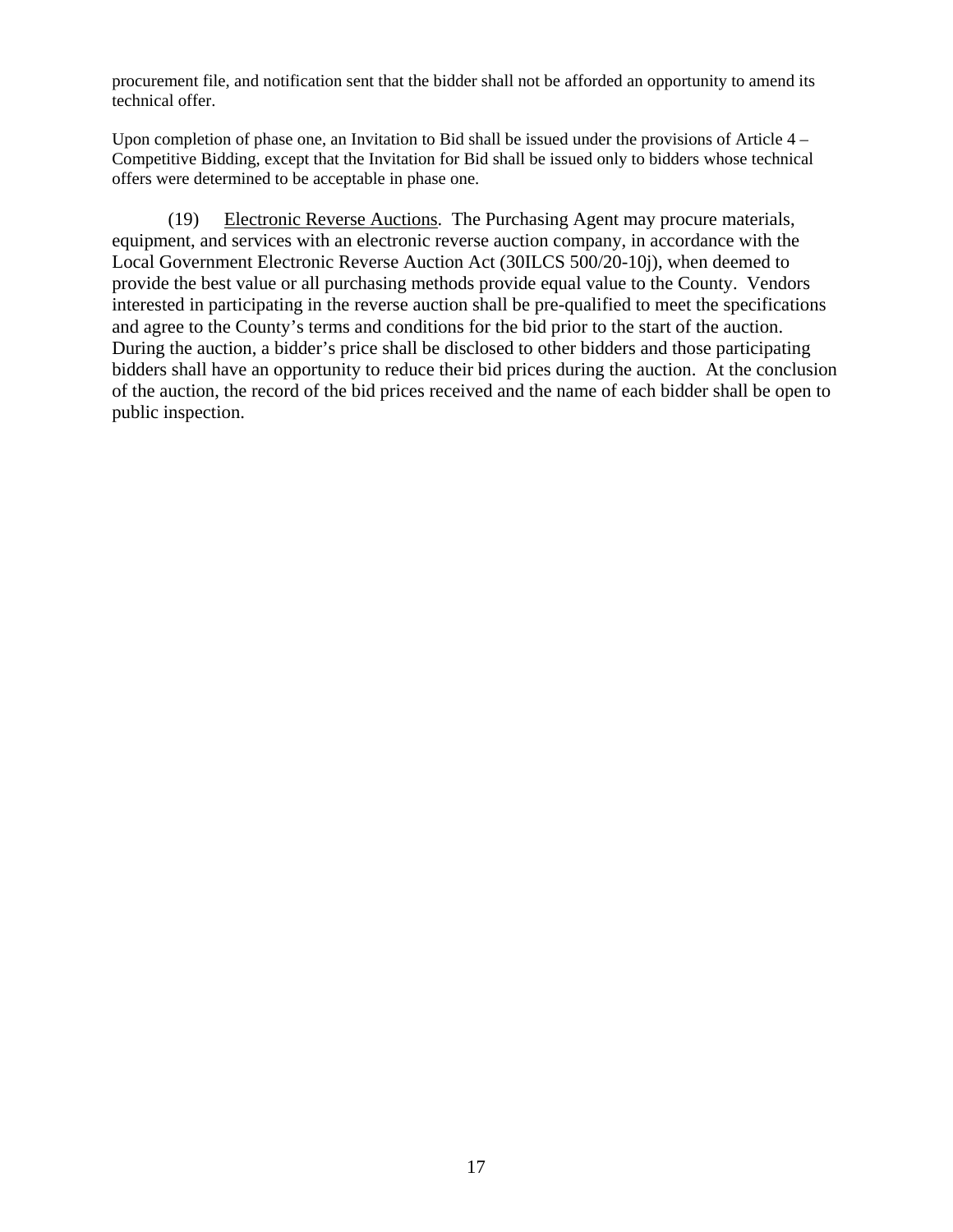procurement file, and notification sent that the bidder shall not be afforded an opportunity to amend its technical offer.

Upon completion of phase one, an Invitation to Bid shall be issued under the provisions of Article 4 – Competitive Bidding, except that the Invitation for Bid shall be issued only to bidders whose technical offers were determined to be acceptable in phase one.

(19) Electronic Reverse Auctions. The Purchasing Agent may procure materials, equipment, and services with an electronic reverse auction company, in accordance with the Local Government Electronic Reverse Auction Act (30ILCS 500/20-10j), when deemed to provide the best value or all purchasing methods provide equal value to the County. Vendors interested in participating in the reverse auction shall be pre-qualified to meet the specifications and agree to the County's terms and conditions for the bid prior to the start of the auction. During the auction, a bidder's price shall be disclosed to other bidders and those participating bidders shall have an opportunity to reduce their bid prices during the auction. At the conclusion of the auction, the record of the bid prices received and the name of each bidder shall be open to public inspection.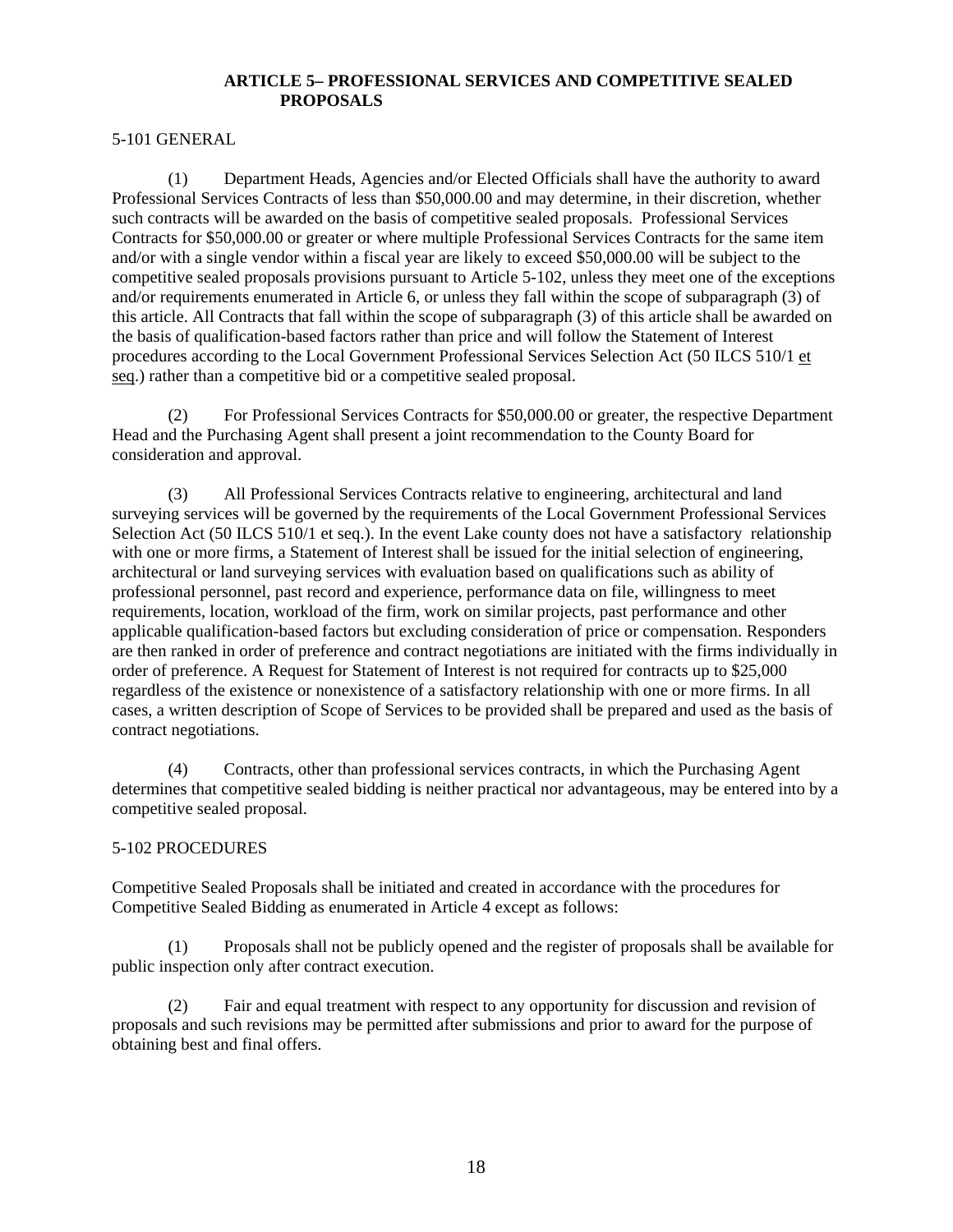## **ARTICLE 5– PROFESSIONAL SERVICES AND COMPETITIVE SEALED PROPOSALS**

### 5-101 GENERAL

 (1) Department Heads, Agencies and/or Elected Officials shall have the authority to award Professional Services Contracts of less than \$50,000.00 and may determine, in their discretion, whether such contracts will be awarded on the basis of competitive sealed proposals. Professional Services Contracts for \$50,000.00 or greater or where multiple Professional Services Contracts for the same item and/or with a single vendor within a fiscal year are likely to exceed \$50,000.00 will be subject to the competitive sealed proposals provisions pursuant to Article 5-102, unless they meet one of the exceptions and/or requirements enumerated in Article 6, or unless they fall within the scope of subparagraph (3) of this article. All Contracts that fall within the scope of subparagraph (3) of this article shall be awarded on the basis of qualification-based factors rather than price and will follow the Statement of Interest procedures according to the Local Government Professional Services Selection Act (50 ILCS 510/1 et seq.) rather than a competitive bid or a competitive sealed proposal.

 (2) For Professional Services Contracts for \$50,000.00 or greater, the respective Department Head and the Purchasing Agent shall present a joint recommendation to the County Board for consideration and approval.

 (3) All Professional Services Contracts relative to engineering, architectural and land surveying services will be governed by the requirements of the Local Government Professional Services Selection Act (50 ILCS 510/1 et seq.). In the event Lake county does not have a satisfactory relationship with one or more firms, a Statement of Interest shall be issued for the initial selection of engineering, architectural or land surveying services with evaluation based on qualifications such as ability of professional personnel, past record and experience, performance data on file, willingness to meet requirements, location, workload of the firm, work on similar projects, past performance and other applicable qualification-based factors but excluding consideration of price or compensation. Responders are then ranked in order of preference and contract negotiations are initiated with the firms individually in order of preference. A Request for Statement of Interest is not required for contracts up to \$25,000 regardless of the existence or nonexistence of a satisfactory relationship with one or more firms. In all cases, a written description of Scope of Services to be provided shall be prepared and used as the basis of contract negotiations.

 (4) Contracts, other than professional services contracts, in which the Purchasing Agent determines that competitive sealed bidding is neither practical nor advantageous, may be entered into by a competitive sealed proposal.

## 5-102 PROCEDURES

Competitive Sealed Proposals shall be initiated and created in accordance with the procedures for Competitive Sealed Bidding as enumerated in Article 4 except as follows:

(1) Proposals shall not be publicly opened and the register of proposals shall be available for public inspection only after contract execution.

(2) Fair and equal treatment with respect to any opportunity for discussion and revision of proposals and such revisions may be permitted after submissions and prior to award for the purpose of obtaining best and final offers.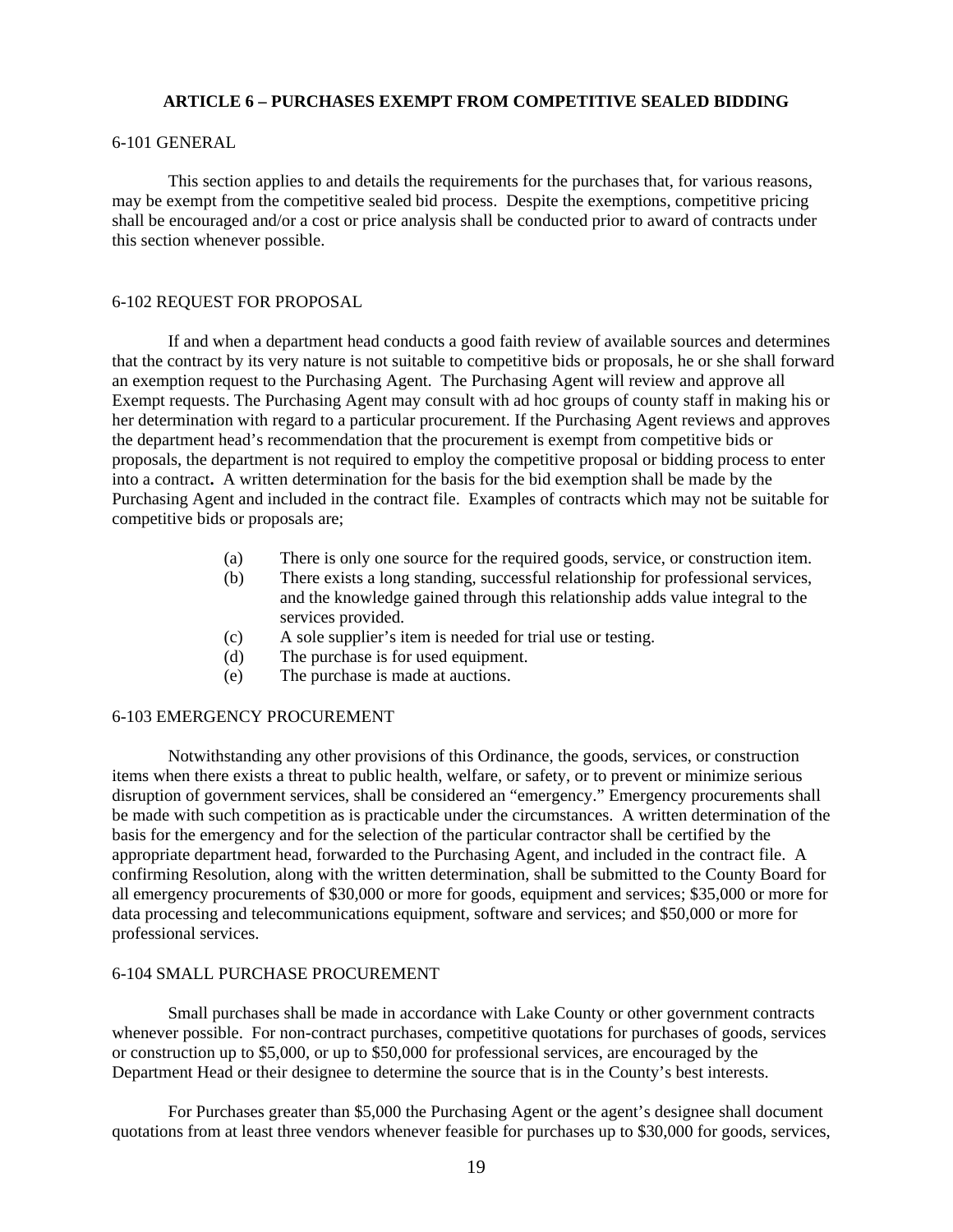### **ARTICLE 6 – PURCHASES EXEMPT FROM COMPETITIVE SEALED BIDDING**

#### 6-101 GENERAL

 This section applies to and details the requirements for the purchases that, for various reasons, may be exempt from the competitive sealed bid process. Despite the exemptions, competitive pricing shall be encouraged and/or a cost or price analysis shall be conducted prior to award of contracts under this section whenever possible.

#### 6-102 REQUEST FOR PROPOSAL

 If and when a department head conducts a good faith review of available sources and determines that the contract by its very nature is not suitable to competitive bids or proposals, he or she shall forward an exemption request to the Purchasing Agent. The Purchasing Agent will review and approve all Exempt requests. The Purchasing Agent may consult with ad hoc groups of county staff in making his or her determination with regard to a particular procurement. If the Purchasing Agent reviews and approves the department head's recommendation that the procurement is exempt from competitive bids or proposals, the department is not required to employ the competitive proposal or bidding process to enter into a contract**.** A written determination for the basis for the bid exemption shall be made by the Purchasing Agent and included in the contract file. Examples of contracts which may not be suitable for competitive bids or proposals are;

- (a) There is only one source for the required goods, service, or construction item.
- (b) There exists a long standing, successful relationship for professional services, and the knowledge gained through this relationship adds value integral to the services provided.
- (c) A sole supplier's item is needed for trial use or testing.
- (d) The purchase is for used equipment.
- (e) The purchase is made at auctions.

#### 6-103 EMERGENCY PROCUREMENT

Notwithstanding any other provisions of this Ordinance, the goods, services, or construction items when there exists a threat to public health, welfare, or safety, or to prevent or minimize serious disruption of government services, shall be considered an "emergency." Emergency procurements shall be made with such competition as is practicable under the circumstances. A written determination of the basis for the emergency and for the selection of the particular contractor shall be certified by the appropriate department head, forwarded to the Purchasing Agent, and included in the contract file. A confirming Resolution, along with the written determination, shall be submitted to the County Board for all emergency procurements of \$30,000 or more for goods, equipment and services; \$35,000 or more for data processing and telecommunications equipment, software and services; and \$50,000 or more for professional services.

#### 6-104 SMALL PURCHASE PROCUREMENT

 Small purchases shall be made in accordance with Lake County or other government contracts whenever possible. For non-contract purchases, competitive quotations for purchases of goods, services or construction up to \$5,000, or up to \$50,000 for professional services, are encouraged by the Department Head or their designee to determine the source that is in the County's best interests.

 For Purchases greater than \$5,000 the Purchasing Agent or the agent's designee shall document quotations from at least three vendors whenever feasible for purchases up to \$30,000 for goods, services,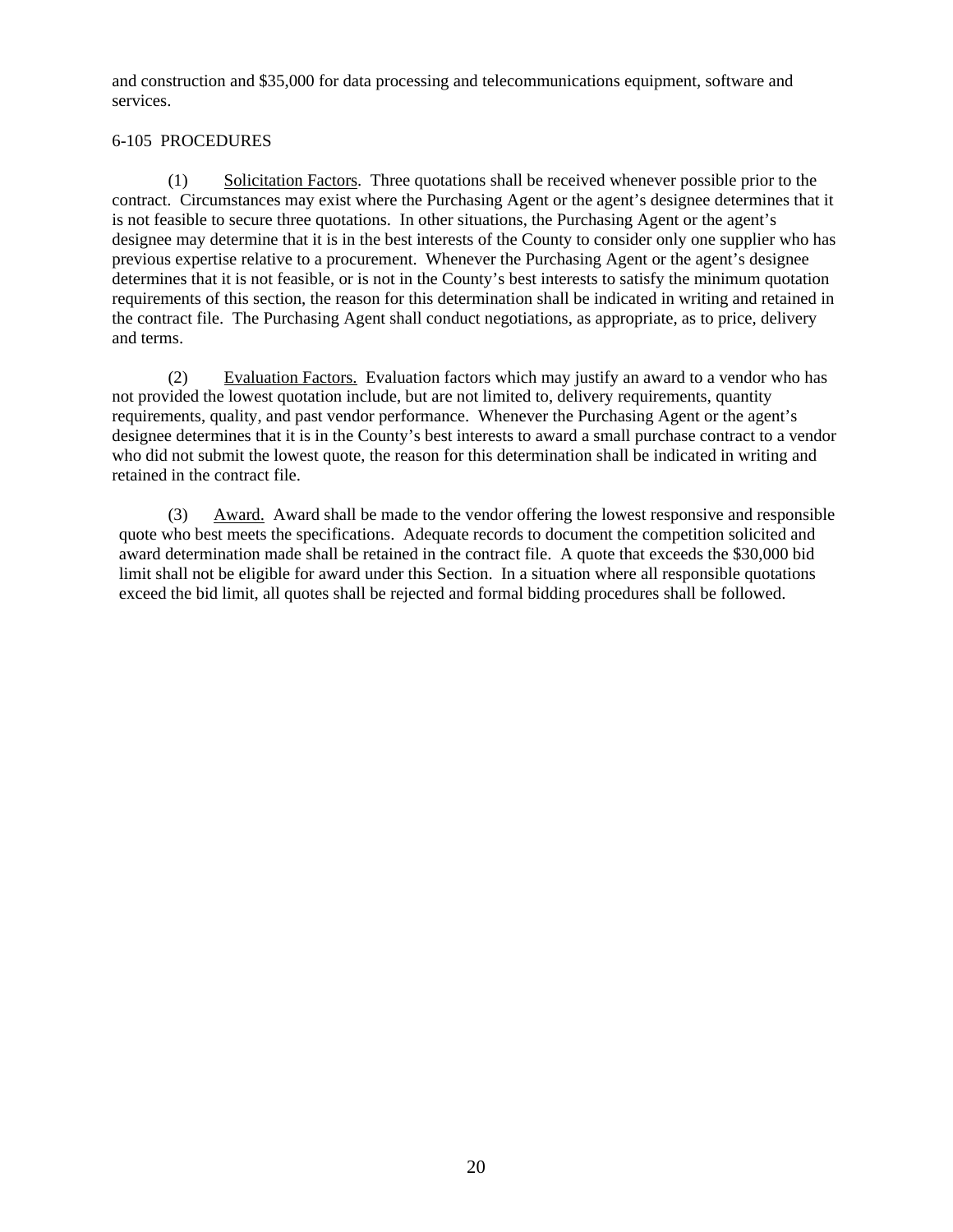and construction and \$35,000 for data processing and telecommunications equipment, software and services.

## 6-105 PROCEDURES

(1) Solicitation Factors. Three quotations shall be received whenever possible prior to the contract. Circumstances may exist where the Purchasing Agent or the agent's designee determines that it is not feasible to secure three quotations. In other situations, the Purchasing Agent or the agent's designee may determine that it is in the best interests of the County to consider only one supplier who has previous expertise relative to a procurement. Whenever the Purchasing Agent or the agent's designee determines that it is not feasible, or is not in the County's best interests to satisfy the minimum quotation requirements of this section, the reason for this determination shall be indicated in writing and retained in the contract file. The Purchasing Agent shall conduct negotiations, as appropriate, as to price, delivery and terms.

(2) Evaluation Factors. Evaluation factors which may justify an award to a vendor who has not provided the lowest quotation include, but are not limited to, delivery requirements, quantity requirements, quality, and past vendor performance. Whenever the Purchasing Agent or the agent's designee determines that it is in the County's best interests to award a small purchase contract to a vendor who did not submit the lowest quote, the reason for this determination shall be indicated in writing and retained in the contract file.

(3) Award. Award shall be made to the vendor offering the lowest responsive and responsible quote who best meets the specifications. Adequate records to document the competition solicited and award determination made shall be retained in the contract file. A quote that exceeds the \$30,000 bid limit shall not be eligible for award under this Section. In a situation where all responsible quotations exceed the bid limit, all quotes shall be rejected and formal bidding procedures shall be followed.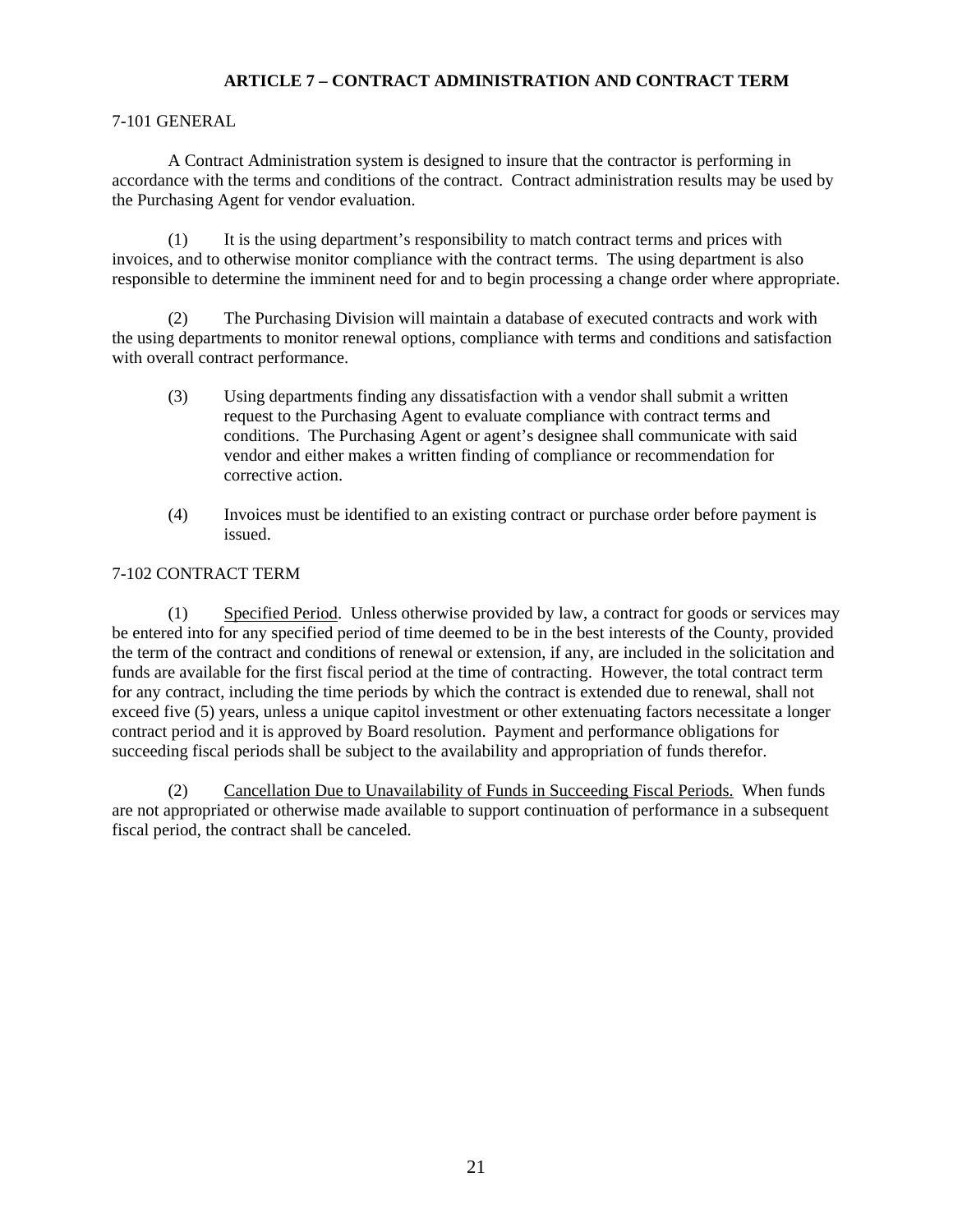## **ARTICLE 7 – CONTRACT ADMINISTRATION AND CONTRACT TERM**

## 7-101 GENERAL

 A Contract Administration system is designed to insure that the contractor is performing in accordance with the terms and conditions of the contract. Contract administration results may be used by the Purchasing Agent for vendor evaluation.

(1) It is the using department's responsibility to match contract terms and prices with invoices, and to otherwise monitor compliance with the contract terms. The using department is also responsible to determine the imminent need for and to begin processing a change order where appropriate.

(2) The Purchasing Division will maintain a database of executed contracts and work with the using departments to monitor renewal options, compliance with terms and conditions and satisfaction with overall contract performance.

- (3) Using departments finding any dissatisfaction with a vendor shall submit a written request to the Purchasing Agent to evaluate compliance with contract terms and conditions. The Purchasing Agent or agent's designee shall communicate with said vendor and either makes a written finding of compliance or recommendation for corrective action.
- (4) Invoices must be identified to an existing contract or purchase order before payment is issued.

## 7-102 CONTRACT TERM

(1) Specified Period. Unless otherwise provided by law, a contract for goods or services may be entered into for any specified period of time deemed to be in the best interests of the County, provided the term of the contract and conditions of renewal or extension, if any, are included in the solicitation and funds are available for the first fiscal period at the time of contracting. However, the total contract term for any contract, including the time periods by which the contract is extended due to renewal, shall not exceed five (5) years*,* unless a unique capitol investment or other extenuating factors necessitate a longer contract period and it is approved by Board resolution. Payment and performance obligations for succeeding fiscal periods shall be subject to the availability and appropriation of funds therefor.

(2) Cancellation Due to Unavailability of Funds in Succeeding Fiscal Periods. When funds are not appropriated or otherwise made available to support continuation of performance in a subsequent fiscal period, the contract shall be canceled.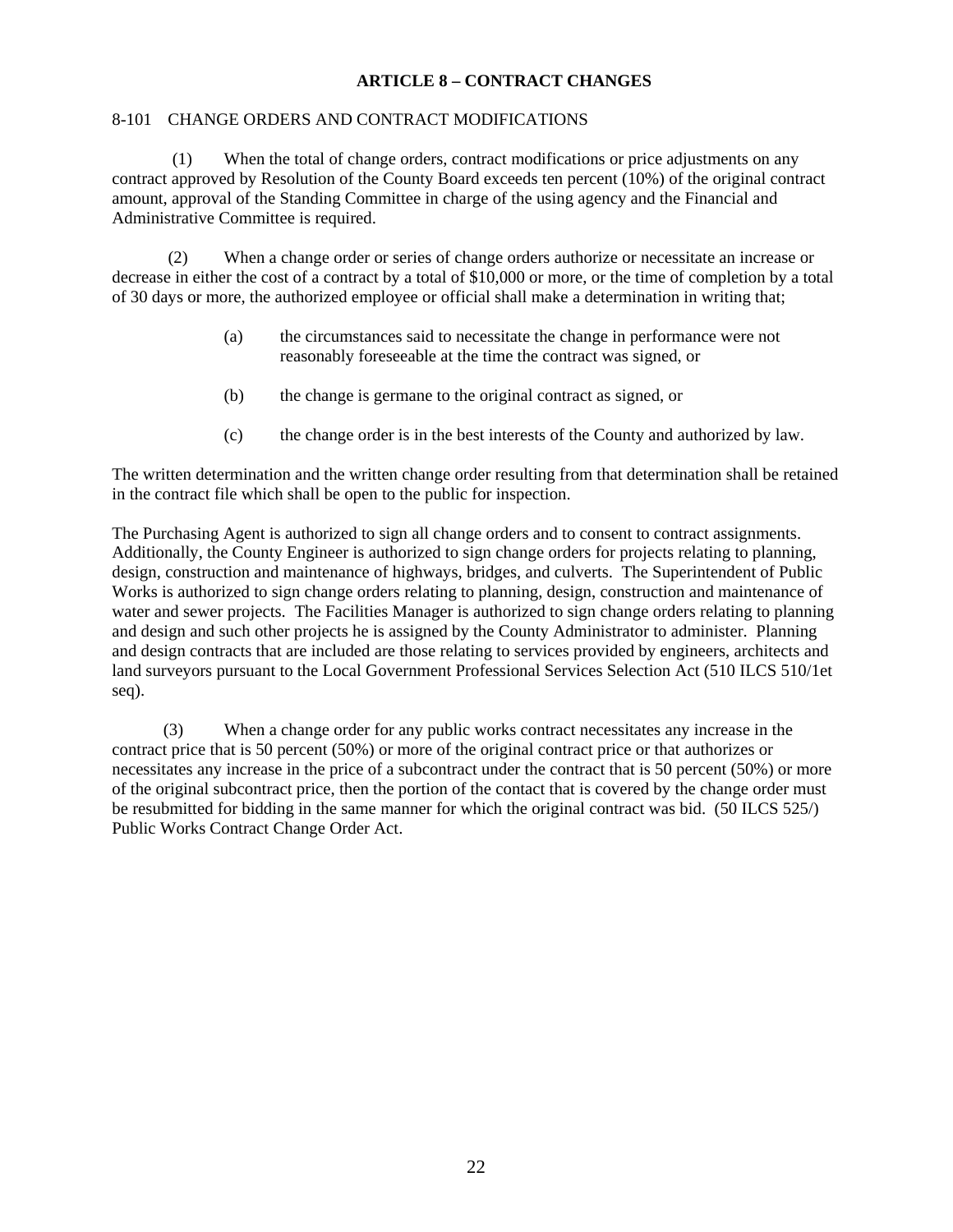## **ARTICLE 8 – CONTRACT CHANGES**

## 8-101 CHANGE ORDERS AND CONTRACT MODIFICATIONS

 (1) When the total of change orders, contract modifications or price adjustments on any contract approved by Resolution of the County Board exceeds ten percent (10%) of the original contract amount, approval of the Standing Committee in charge of the using agency and the Financial and Administrative Committee is required.

(2) When a change order or series of change orders authorize or necessitate an increase or decrease in either the cost of a contract by a total of \$10,000 or more, or the time of completion by a total of 30 days or more, the authorized employee or official shall make a determination in writing that;

- (a) the circumstances said to necessitate the change in performance were not reasonably foreseeable at the time the contract was signed, or
- (b) the change is germane to the original contract as signed, or
- (c) the change order is in the best interests of the County and authorized by law.

The written determination and the written change order resulting from that determination shall be retained in the contract file which shall be open to the public for inspection.

The Purchasing Agent is authorized to sign all change orders and to consent to contract assignments. Additionally, the County Engineer is authorized to sign change orders for projects relating to planning, design, construction and maintenance of highways, bridges, and culverts. The Superintendent of Public Works is authorized to sign change orders relating to planning, design, construction and maintenance of water and sewer projects. The Facilities Manager is authorized to sign change orders relating to planning and design and such other projects he is assigned by the County Administrator to administer. Planning and design contracts that are included are those relating to services provided by engineers, architects and land surveyors pursuant to the Local Government Professional Services Selection Act (510 ILCS 510/1et seq).

 (3) When a change order for any public works contract necessitates any increase in the contract price that is 50 percent (50%) or more of the original contract price or that authorizes or necessitates any increase in the price of a subcontract under the contract that is 50 percent (50%) or more of the original subcontract price, then the portion of the contact that is covered by the change order must be resubmitted for bidding in the same manner for which the original contract was bid. (50 ILCS 525/) Public Works Contract Change Order Act.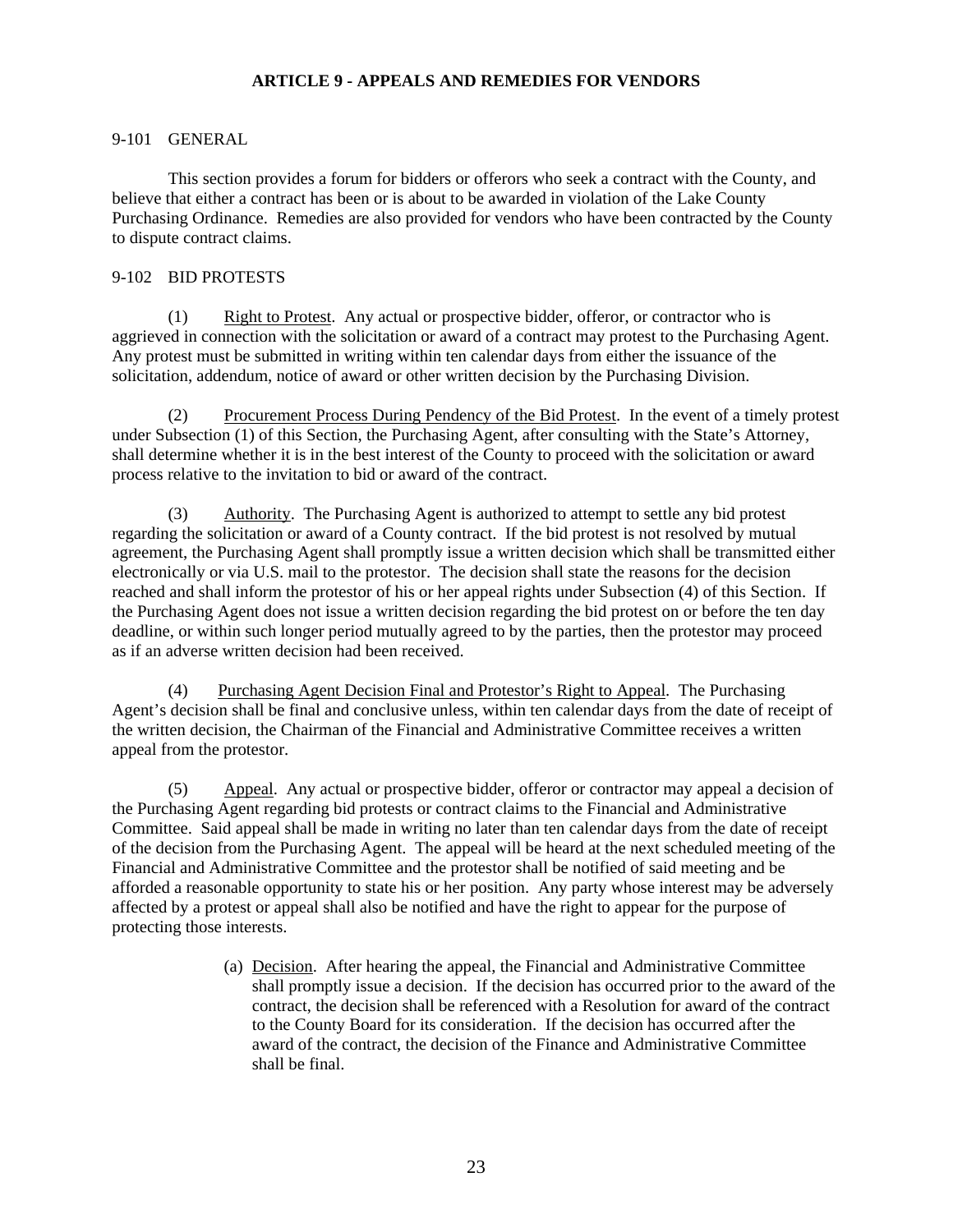## **ARTICLE 9 - APPEALS AND REMEDIES FOR VENDORS**

## 9-101 GENERAL

 This section provides a forum for bidders or offerors who seek a contract with the County, and believe that either a contract has been or is about to be awarded in violation of the Lake County Purchasing Ordinance. Remedies are also provided for vendors who have been contracted by the County to dispute contract claims.

## 9-102 BID PROTESTS

(1) Right to Protest. Any actual or prospective bidder, offeror, or contractor who is aggrieved in connection with the solicitation or award of a contract may protest to the Purchasing Agent. Any protest must be submitted in writing within ten calendar days from either the issuance of the solicitation, addendum, notice of award or other written decision by the Purchasing Division.

(2) Procurement Process During Pendency of the Bid Protest. In the event of a timely protest under Subsection (1) of this Section, the Purchasing Agent, after consulting with the State's Attorney, shall determine whether it is in the best interest of the County to proceed with the solicitation or award process relative to the invitation to bid or award of the contract.

(3) Authority. The Purchasing Agent is authorized to attempt to settle any bid protest regarding the solicitation or award of a County contract. If the bid protest is not resolved by mutual agreement, the Purchasing Agent shall promptly issue a written decision which shall be transmitted either electronically or via U.S. mail to the protestor. The decision shall state the reasons for the decision reached and shall inform the protestor of his or her appeal rights under Subsection (4) of this Section. If the Purchasing Agent does not issue a written decision regarding the bid protest on or before the ten day deadline, or within such longer period mutually agreed to by the parties, then the protestor may proceed as if an adverse written decision had been received.

(4) Purchasing Agent Decision Final and Protestor's Right to Appeal. The Purchasing Agent's decision shall be final and conclusive unless, within ten calendar days from the date of receipt of the written decision, the Chairman of the Financial and Administrative Committee receives a written appeal from the protestor.

(5) Appeal. Any actual or prospective bidder, offeror or contractor may appeal a decision of the Purchasing Agent regarding bid protests or contract claims to the Financial and Administrative Committee. Said appeal shall be made in writing no later than ten calendar days from the date of receipt of the decision from the Purchasing Agent. The appeal will be heard at the next scheduled meeting of the Financial and Administrative Committee and the protestor shall be notified of said meeting and be afforded a reasonable opportunity to state his or her position. Any party whose interest may be adversely affected by a protest or appeal shall also be notified and have the right to appear for the purpose of protecting those interests.

> (a) Decision. After hearing the appeal, the Financial and Administrative Committee shall promptly issue a decision. If the decision has occurred prior to the award of the contract, the decision shall be referenced with a Resolution for award of the contract to the County Board for its consideration. If the decision has occurred after the award of the contract, the decision of the Finance and Administrative Committee shall be final.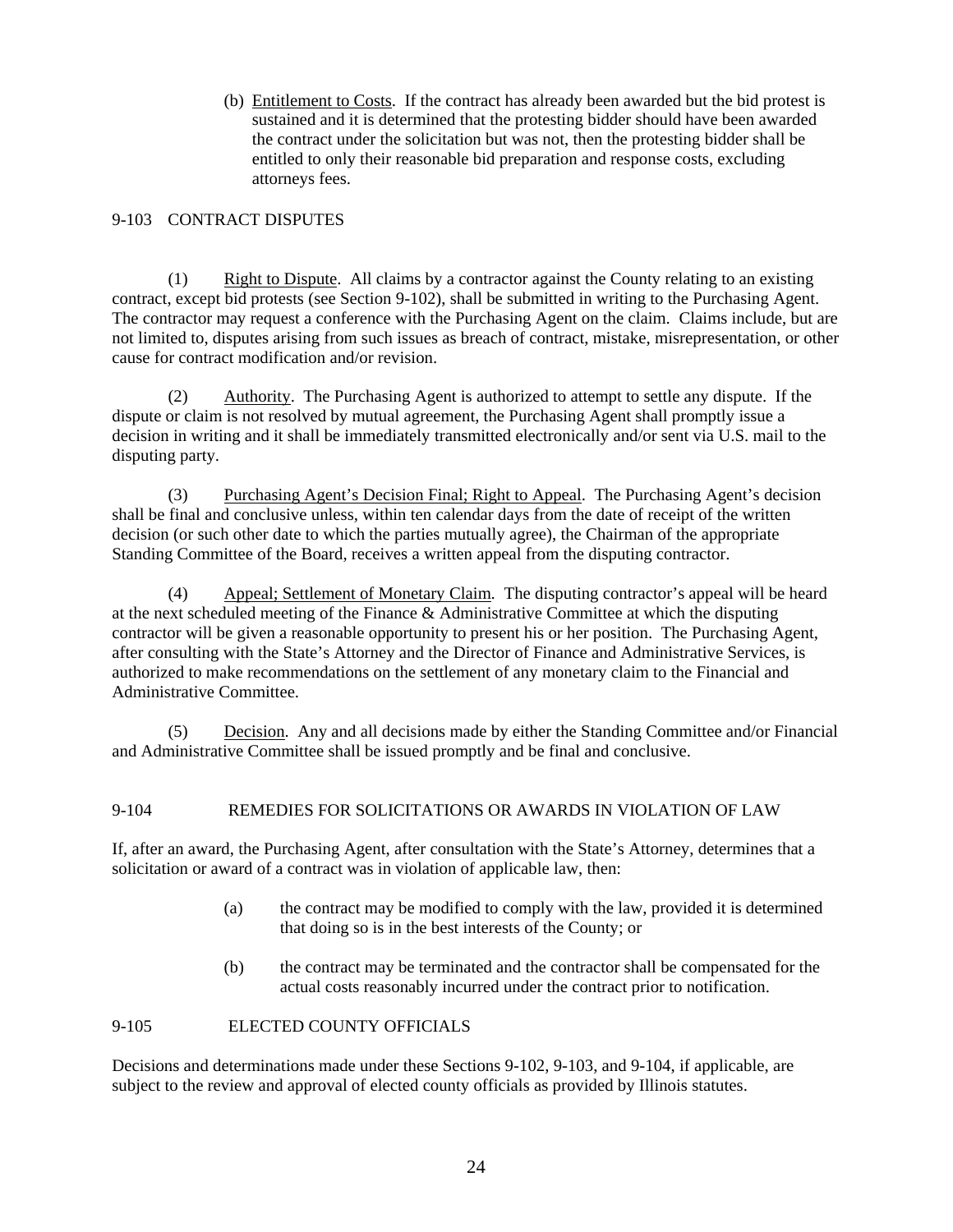(b) Entitlement to Costs. If the contract has already been awarded but the bid protest is sustained and it is determined that the protesting bidder should have been awarded the contract under the solicitation but was not, then the protesting bidder shall be entitled to only their reasonable bid preparation and response costs, excluding attorneys fees.

## 9-103 CONTRACT DISPUTES

(1) Right to Dispute. All claims by a contractor against the County relating to an existing contract, except bid protests (see Section 9-102), shall be submitted in writing to the Purchasing Agent. The contractor may request a conference with the Purchasing Agent on the claim. Claims include, but are not limited to, disputes arising from such issues as breach of contract, mistake, misrepresentation, or other cause for contract modification and/or revision.

(2) Authority. The Purchasing Agent is authorized to attempt to settle any dispute. If the dispute or claim is not resolved by mutual agreement, the Purchasing Agent shall promptly issue a decision in writing and it shall be immediately transmitted electronically and/or sent via U.S. mail to the disputing party.

(3) Purchasing Agent's Decision Final; Right to Appeal. The Purchasing Agent's decision shall be final and conclusive unless, within ten calendar days from the date of receipt of the written decision (or such other date to which the parties mutually agree), the Chairman of the appropriate Standing Committee of the Board, receives a written appeal from the disputing contractor.

(4) Appeal; Settlement of Monetary Claim. The disputing contractor's appeal will be heard at the next scheduled meeting of the Finance & Administrative Committee at which the disputing contractor will be given a reasonable opportunity to present his or her position. The Purchasing Agent, after consulting with the State's Attorney and the Director of Finance and Administrative Services, is authorized to make recommendations on the settlement of any monetary claim to the Financial and Administrative Committee.

(5) Decision. Any and all decisions made by either the Standing Committee and/or Financial and Administrative Committee shall be issued promptly and be final and conclusive.

## 9-104 REMEDIES FOR SOLICITATIONS OR AWARDS IN VIOLATION OF LAW

If, after an award, the Purchasing Agent, after consultation with the State's Attorney, determines that a solicitation or award of a contract was in violation of applicable law, then:

- (a) the contract may be modified to comply with the law, provided it is determined that doing so is in the best interests of the County; or
- (b) the contract may be terminated and the contractor shall be compensated for the actual costs reasonably incurred under the contract prior to notification.

## 9-105 ELECTED COUNTY OFFICIALS

Decisions and determinations made under these Sections 9-102, 9-103, and 9-104, if applicable, are subject to the review and approval of elected county officials as provided by Illinois statutes.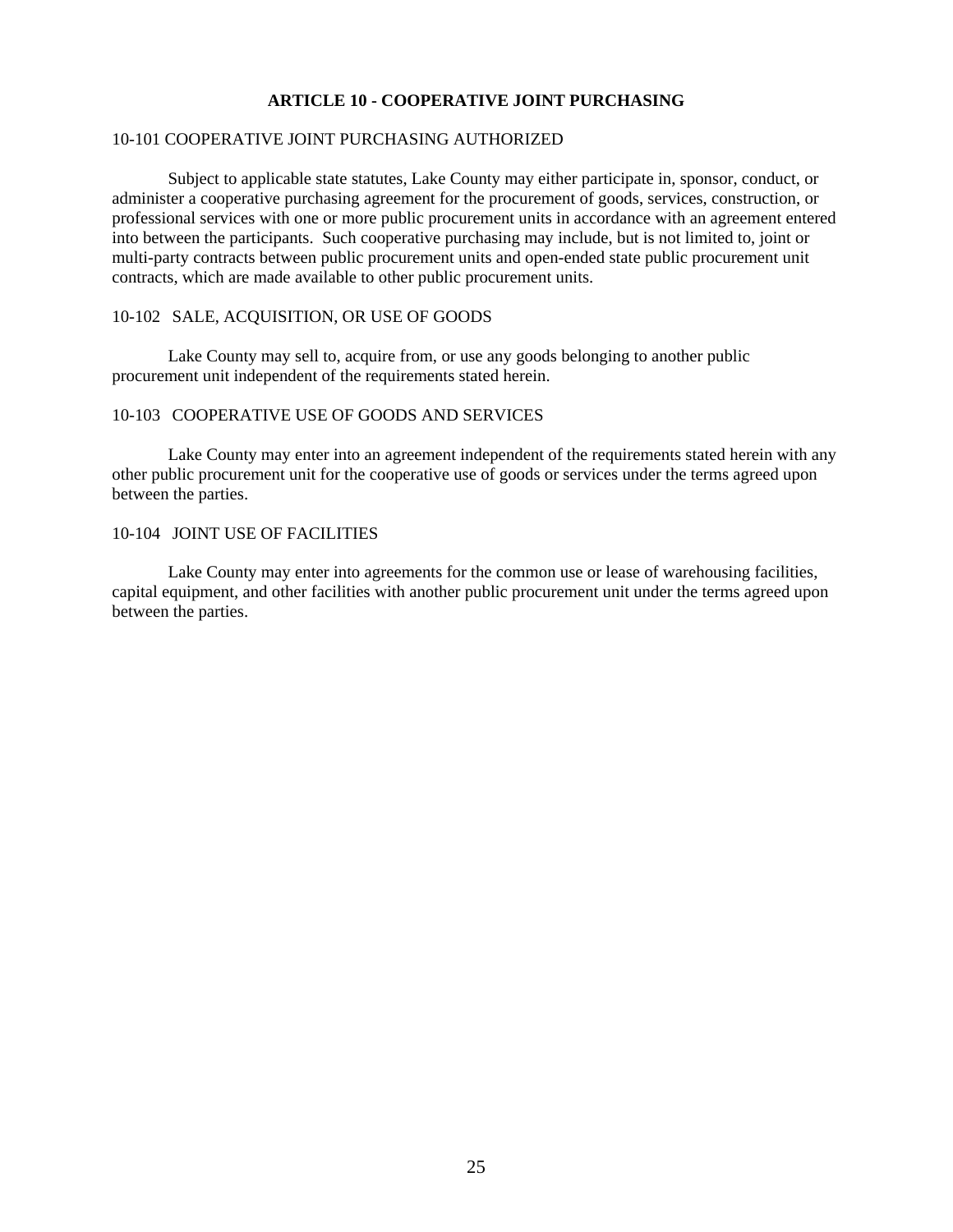### **ARTICLE 10 - COOPERATIVE JOINT PURCHASING**

### 10-101 COOPERATIVE JOINT PURCHASING AUTHORIZED

Subject to applicable state statutes, Lake County may either participate in, sponsor, conduct, or administer a cooperative purchasing agreement for the procurement of goods, services, construction, or professional services with one or more public procurement units in accordance with an agreement entered into between the participants. Such cooperative purchasing may include, but is not limited to, joint or multi-party contracts between public procurement units and open-ended state public procurement unit contracts, which are made available to other public procurement units.

### 10-102 SALE, ACQUISITION, OR USE OF GOODS

Lake County may sell to, acquire from, or use any goods belonging to another public procurement unit independent of the requirements stated herein.

#### 10-103 COOPERATIVE USE OF GOODS AND SERVICES

Lake County may enter into an agreement independent of the requirements stated herein with any other public procurement unit for the cooperative use of goods or services under the terms agreed upon between the parties.

## 10-104 JOINT USE OF FACILITIES

Lake County may enter into agreements for the common use or lease of warehousing facilities, capital equipment, and other facilities with another public procurement unit under the terms agreed upon between the parties.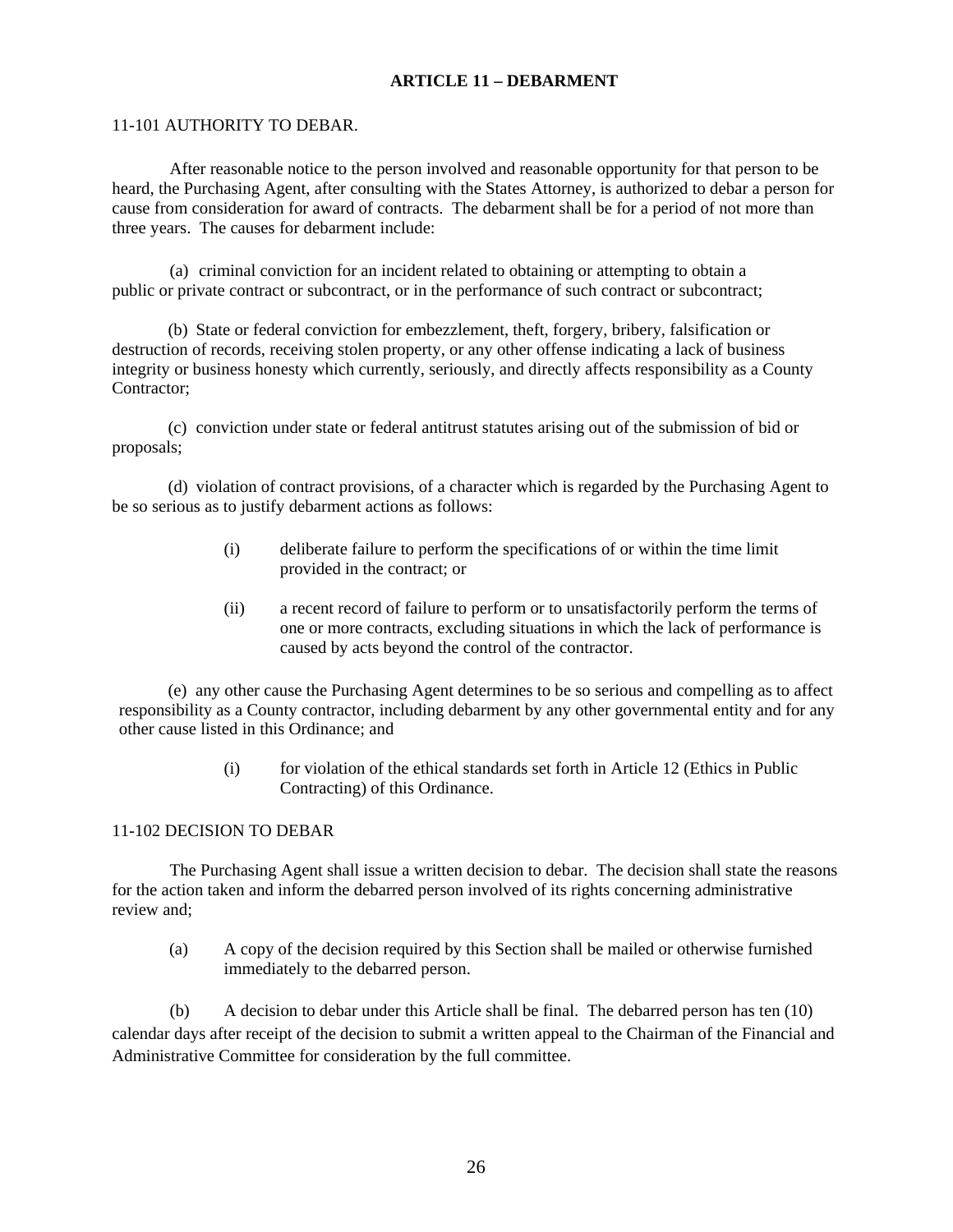## **ARTICLE 11 – DEBARMENT**

### 11-101 AUTHORITY TO DEBAR.

 After reasonable notice to the person involved and reasonable opportunity for that person to be heard, the Purchasing Agent, after consulting with the States Attorney, is authorized to debar a person for cause from consideration for award of contracts. The debarment shall be for a period of not more than three years. The causes for debarment include:

(a) criminal conviction for an incident related to obtaining or attempting to obtain a public or private contract or subcontract, or in the performance of such contract or subcontract;

(b) State or federal conviction for embezzlement, theft, forgery, bribery, falsification or destruction of records, receiving stolen property, or any other offense indicating a lack of business integrity or business honesty which currently, seriously, and directly affects responsibility as a County Contractor;

(c) conviction under state or federal antitrust statutes arising out of the submission of bid or proposals;

(d) violation of contract provisions, of a character which is regarded by the Purchasing Agent to be so serious as to justify debarment actions as follows:

- (i) deliberate failure to perform the specifications of or within the time limit provided in the contract; or
- (ii) a recent record of failure to perform or to unsatisfactorily perform the terms of one or more contracts, excluding situations in which the lack of performance is caused by acts beyond the control of the contractor.

(e) any other cause the Purchasing Agent determines to be so serious and compelling as to affect responsibility as a County contractor, including debarment by any other governmental entity and for any other cause listed in this Ordinance; and

> (i) for violation of the ethical standards set forth in Article 12 (Ethics in Public Contracting) of this Ordinance.

### 11-102 DECISION TO DEBAR

 The Purchasing Agent shall issue a written decision to debar. The decision shall state the reasons for the action taken and inform the debarred person involved of its rights concerning administrative review and;

(a) A copy of the decision required by this Section shall be mailed or otherwise furnished immediately to the debarred person.

 (b) A decision to debar under this Article shall be final. The debarred person has ten (10) calendar days after receipt of the decision to submit a written appeal to the Chairman of the Financial and Administrative Committee for consideration by the full committee.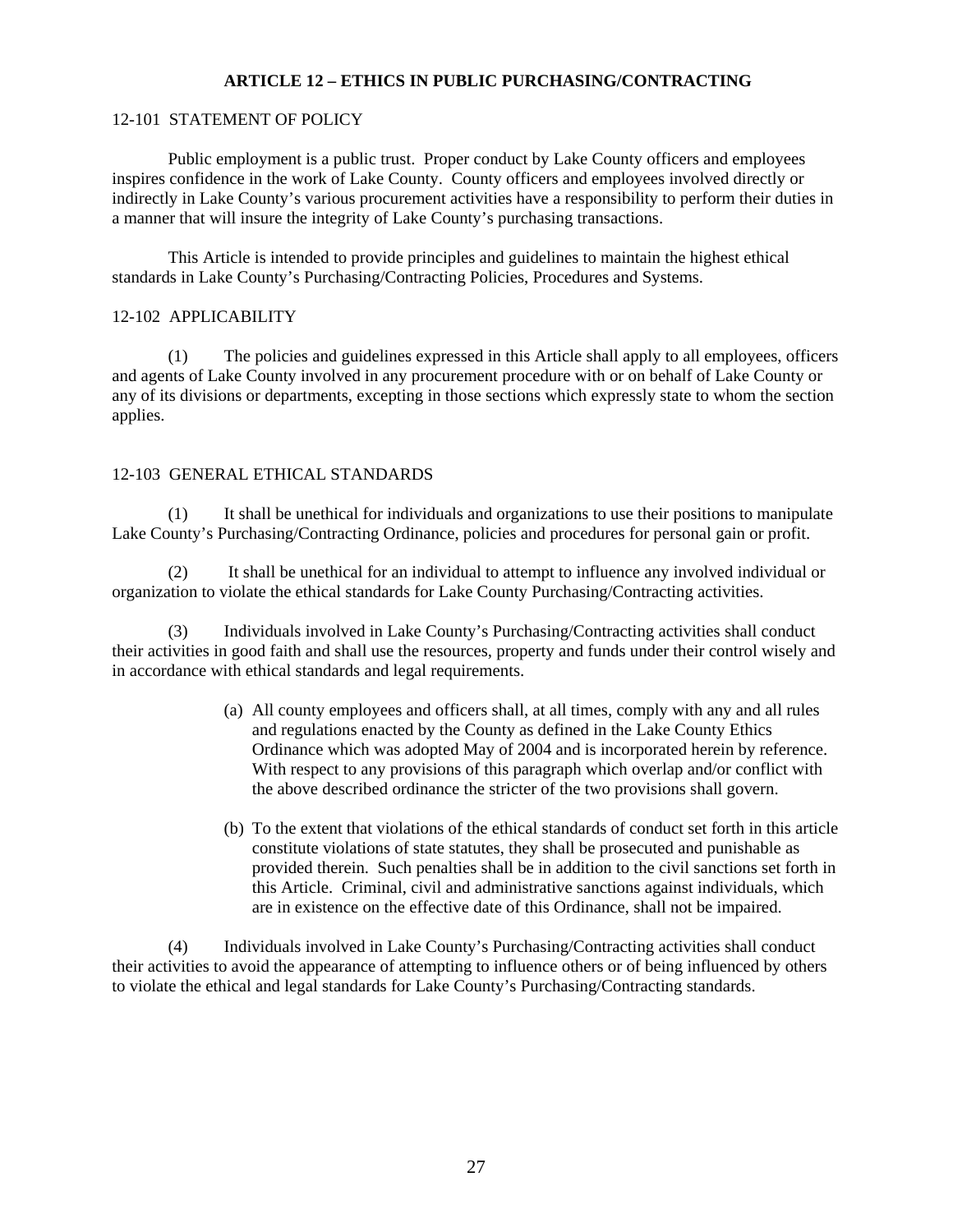## **ARTICLE 12 – ETHICS IN PUBLIC PURCHASING/CONTRACTING**

## 12-101 STATEMENT OF POLICY

 Public employment is a public trust. Proper conduct by Lake County officers and employees inspires confidence in the work of Lake County. County officers and employees involved directly or indirectly in Lake County's various procurement activities have a responsibility to perform their duties in a manner that will insure the integrity of Lake County's purchasing transactions.

This Article is intended to provide principles and guidelines to maintain the highest ethical standards in Lake County's Purchasing/Contracting Policies, Procedures and Systems.

## 12-102 APPLICABILITY

 (1) The policies and guidelines expressed in this Article shall apply to all employees, officers and agents of Lake County involved in any procurement procedure with or on behalf of Lake County or any of its divisions or departments, excepting in those sections which expressly state to whom the section applies.

### 12-103 GENERAL ETHICAL STANDARDS

 (1) It shall be unethical for individuals and organizations to use their positions to manipulate Lake County's Purchasing/Contracting Ordinance, policies and procedures for personal gain or profit.

 (2) It shall be unethical for an individual to attempt to influence any involved individual or organization to violate the ethical standards for Lake County Purchasing/Contracting activities.

 (3) Individuals involved in Lake County's Purchasing/Contracting activities shall conduct their activities in good faith and shall use the resources, property and funds under their control wisely and in accordance with ethical standards and legal requirements.

- (a) All county employees and officers shall, at all times, comply with any and all rules and regulations enacted by the County as defined in the Lake County Ethics Ordinance which was adopted May of 2004 and is incorporated herein by reference. With respect to any provisions of this paragraph which overlap and/or conflict with the above described ordinance the stricter of the two provisions shall govern.
- (b) To the extent that violations of the ethical standards of conduct set forth in this article constitute violations of state statutes, they shall be prosecuted and punishable as provided therein. Such penalties shall be in addition to the civil sanctions set forth in this Article. Criminal, civil and administrative sanctions against individuals, which are in existence on the effective date of this Ordinance, shall not be impaired.

 (4) Individuals involved in Lake County's Purchasing/Contracting activities shall conduct their activities to avoid the appearance of attempting to influence others or of being influenced by others to violate the ethical and legal standards for Lake County's Purchasing/Contracting standards.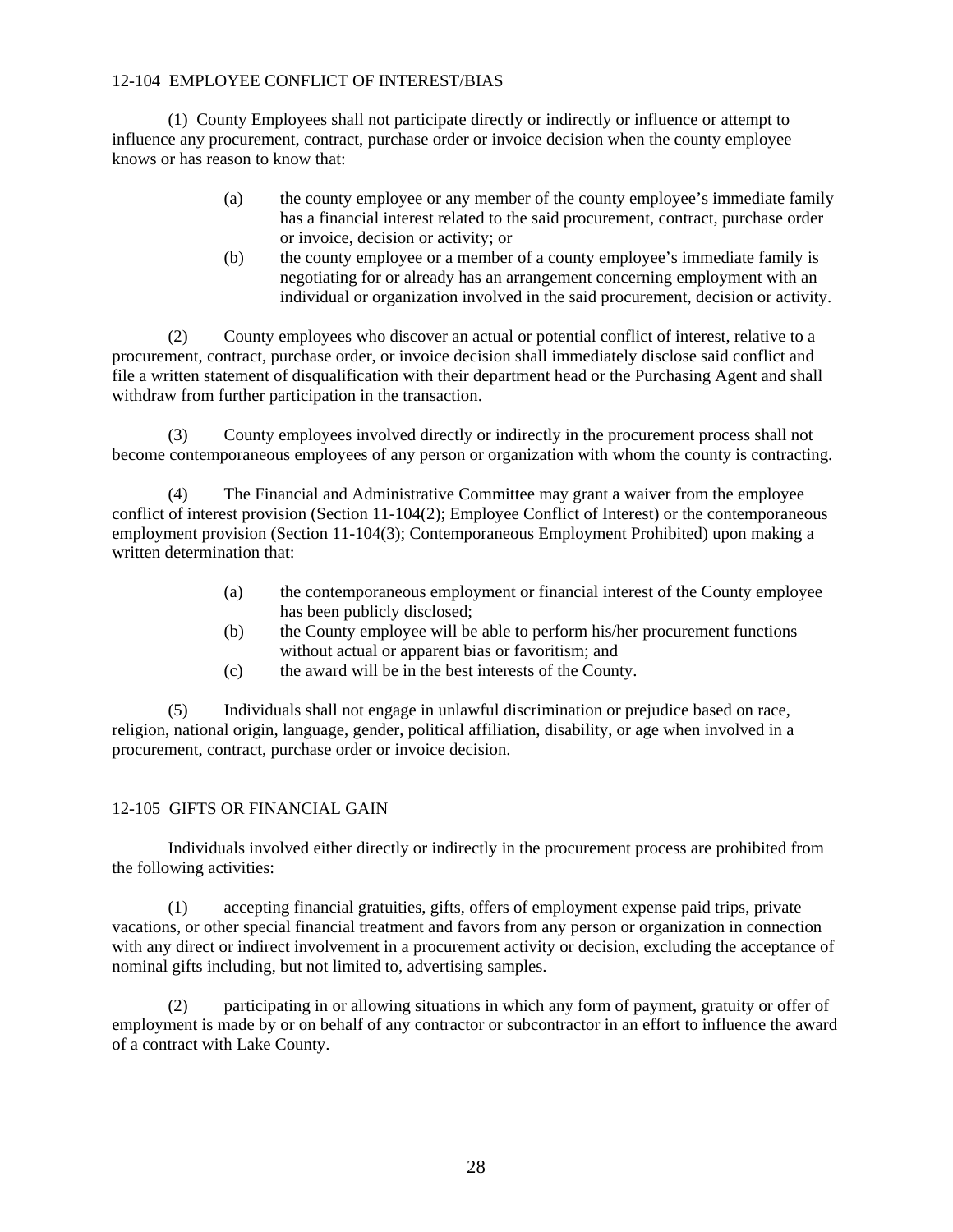## 12-104 EMPLOYEE CONFLICT OF INTEREST/BIAS

 (1) County Employees shall not participate directly or indirectly or influence or attempt to influence any procurement, contract, purchase order or invoice decision when the county employee knows or has reason to know that:

- (a) the county employee or any member of the county employee's immediate family has a financial interest related to the said procurement, contract, purchase order or invoice, decision or activity; or
- (b) the county employee or a member of a county employee's immediate family is negotiating for or already has an arrangement concerning employment with an individual or organization involved in the said procurement, decision or activity.

 (2) County employees who discover an actual or potential conflict of interest, relative to a procurement, contract, purchase order, or invoice decision shall immediately disclose said conflict and file a written statement of disqualification with their department head or the Purchasing Agent and shall withdraw from further participation in the transaction.

 (3) County employees involved directly or indirectly in the procurement process shall not become contemporaneous employees of any person or organization with whom the county is contracting.

 (4) The Financial and Administrative Committee may grant a waiver from the employee conflict of interest provision (Section 11-104(2); Employee Conflict of Interest) or the contemporaneous employment provision (Section 11-104(3); Contemporaneous Employment Prohibited) upon making a written determination that:

- (a) the contemporaneous employment or financial interest of the County employee has been publicly disclosed;
- (b) the County employee will be able to perform his/her procurement functions without actual or apparent bias or favoritism; and
- (c) the award will be in the best interests of the County.

 (5) Individuals shall not engage in unlawful discrimination or prejudice based on race, religion, national origin, language, gender, political affiliation, disability, or age when involved in a procurement, contract, purchase order or invoice decision.

## 12-105 GIFTS OR FINANCIAL GAIN

 Individuals involved either directly or indirectly in the procurement process are prohibited from the following activities:

 (1) accepting financial gratuities, gifts, offers of employment expense paid trips, private vacations, or other special financial treatment and favors from any person or organization in connection with any direct or indirect involvement in a procurement activity or decision, excluding the acceptance of nominal gifts including, but not limited to, advertising samples.

participating in or allowing situations in which any form of payment, gratuity or offer of employment is made by or on behalf of any contractor or subcontractor in an effort to influence the award of a contract with Lake County.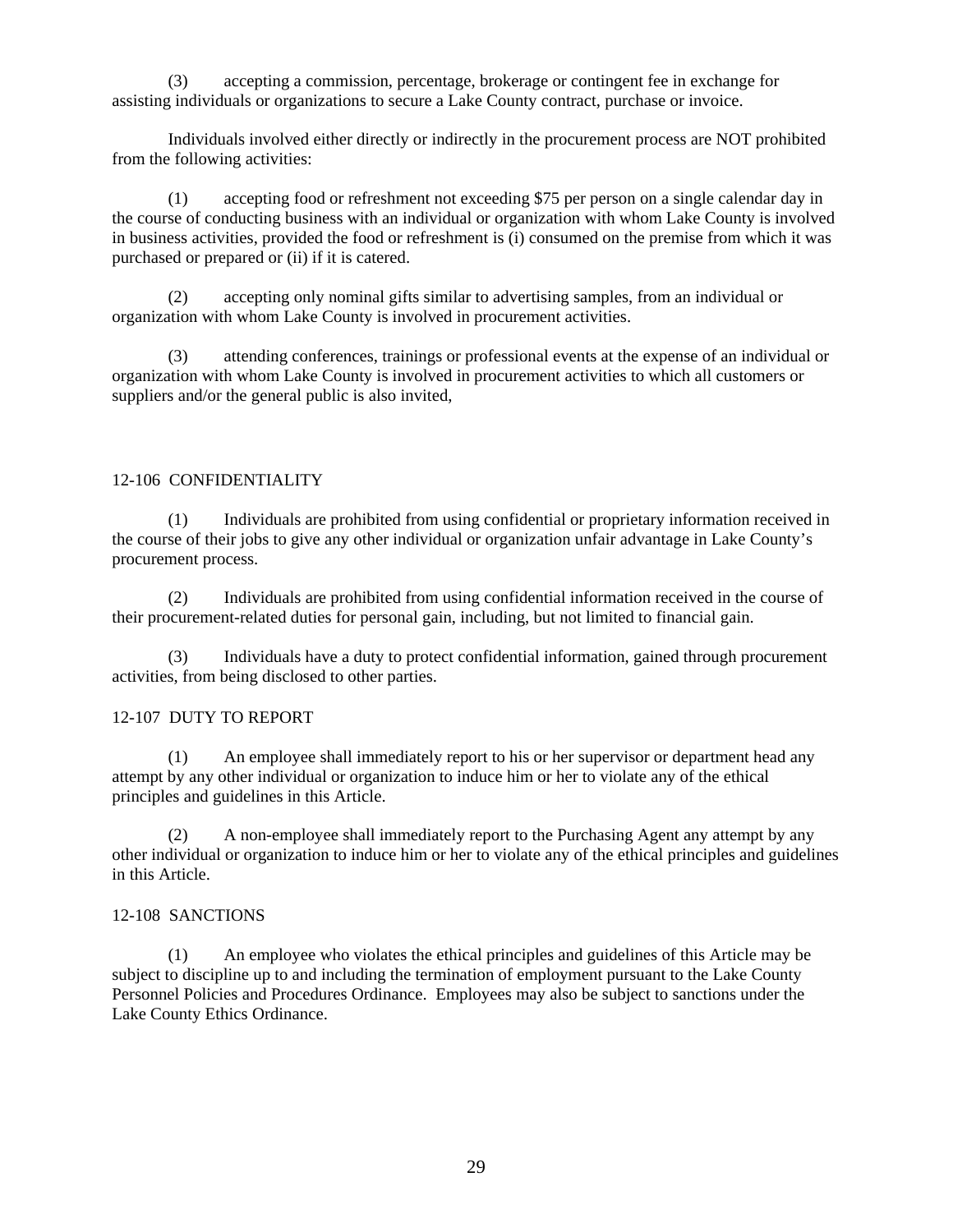(3) accepting a commission, percentage, brokerage or contingent fee in exchange for assisting individuals or organizations to secure a Lake County contract, purchase or invoice.

Individuals involved either directly or indirectly in the procurement process are NOT prohibited from the following activities:

(1) accepting food or refreshment not exceeding \$75 per person on a single calendar day in the course of conducting business with an individual or organization with whom Lake County is involved in business activities, provided the food or refreshment is (i) consumed on the premise from which it was purchased or prepared or (ii) if it is catered.

 (2) accepting only nominal gifts similar to advertising samples, from an individual or organization with whom Lake County is involved in procurement activities.

 (3) attending conferences, trainings or professional events at the expense of an individual or organization with whom Lake County is involved in procurement activities to which all customers or suppliers and/or the general public is also invited,

## 12-106 CONFIDENTIALITY

 (1) Individuals are prohibited from using confidential or proprietary information received in the course of their jobs to give any other individual or organization unfair advantage in Lake County's procurement process.

 (2) Individuals are prohibited from using confidential information received in the course of their procurement-related duties for personal gain, including, but not limited to financial gain.

 (3) Individuals have a duty to protect confidential information, gained through procurement activities, from being disclosed to other parties.

## 12-107 DUTY TO REPORT

 (1) An employee shall immediately report to his or her supervisor or department head any attempt by any other individual or organization to induce him or her to violate any of the ethical principles and guidelines in this Article.

 (2) A non-employee shall immediately report to the Purchasing Agent any attempt by any other individual or organization to induce him or her to violate any of the ethical principles and guidelines in this Article.

#### 12-108 SANCTIONS

 (1) An employee who violates the ethical principles and guidelines of this Article may be subject to discipline up to and including the termination of employment pursuant to the Lake County Personnel Policies and Procedures Ordinance. Employees may also be subject to sanctions under the Lake County Ethics Ordinance.